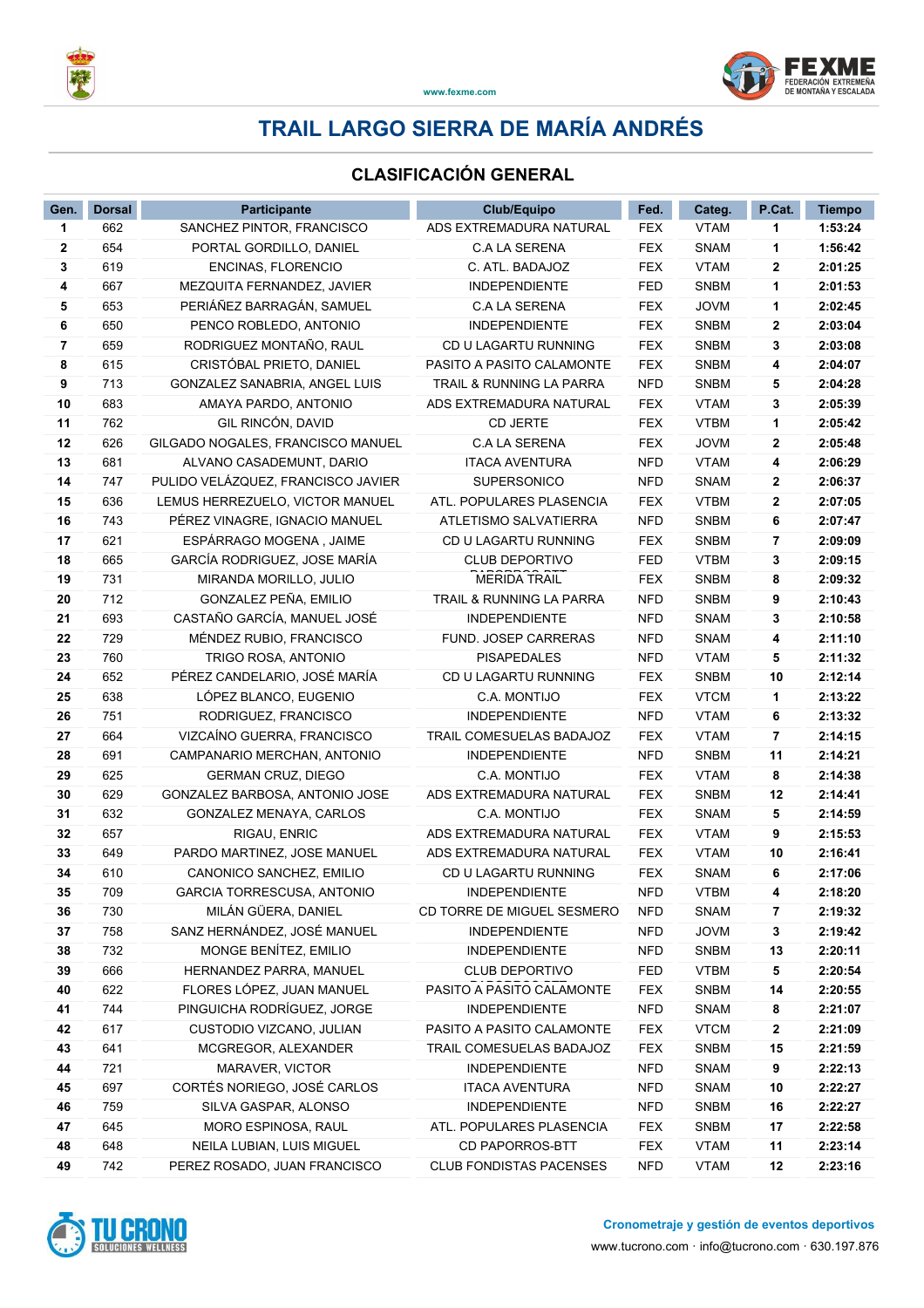



### **CLASIFICACIÓN GENERAL**

| Gen. | <b>Dorsal</b> | <b>Participante</b>                | <b>Club/Equipo</b>             | Fed.       | Categ.      | P.Cat. | <b>Tiempo</b> |
|------|---------------|------------------------------------|--------------------------------|------------|-------------|--------|---------------|
| 1    | 662           | SANCHEZ PINTOR, FRANCISCO          | ADS EXTREMADURA NATURAL        | <b>FEX</b> | <b>VTAM</b> | 1      | 1:53:24       |
| 2    | 654           | PORTAL GORDILLO, DANIEL            | <b>C.A LA SERENA</b>           | <b>FEX</b> | <b>SNAM</b> | 1      | 1:56:42       |
| 3    | 619           | ENCINAS, FLORENCIO                 | C. ATL. BADAJOZ                | <b>FEX</b> | <b>VTAM</b> | 2      | 2:01:25       |
| 4    | 667           | MEZQUITA FERNANDEZ, JAVIER         | <b>INDEPENDIENTE</b>           | <b>FED</b> | <b>SNBM</b> | 1      | 2:01:53       |
| 5    | 653           | PERIÁÑEZ BARRAGÁN, SAMUEL          | <b>C.A LA SERENA</b>           | <b>FEX</b> | <b>JOVM</b> | 1      | 2:02:45       |
| 6    | 650           | PENCO ROBLEDO, ANTONIO             | <b>INDEPENDIENTE</b>           | <b>FEX</b> | <b>SNBM</b> | 2      | 2:03:04       |
| 7    | 659           | RODRIGUEZ MONTAÑO, RAUL            | CD U LAGARTU RUNNING           | <b>FEX</b> | <b>SNBM</b> | 3      | 2:03:08       |
| 8    | 615           | CRISTÓBAL PRIETO, DANIEL           | PASITO A PASITO CALAMONTE      | <b>FEX</b> | <b>SNBM</b> | 4      | 2:04:07       |
| 9    | 713           | GONZALEZ SANABRIA, ANGEL LUIS      | TRAIL & RUNNING LA PARRA       | <b>NFD</b> | <b>SNBM</b> | 5      | 2:04:28       |
| 10   | 683           | AMAYA PARDO, ANTONIO               | ADS EXTREMADURA NATURAL        | <b>FEX</b> | <b>VTAM</b> | 3      | 2:05:39       |
| 11   | 762           | GIL RINCÓN, DAVID                  | <b>CD JERTE</b>                | <b>FEX</b> | <b>VTBM</b> | 1      | 2:05:42       |
| 12   | 626           | GILGADO NOGALES, FRANCISCO MANUEL  | <b>C.A LA SERENA</b>           | <b>FEX</b> | <b>JOVM</b> | 2      | 2:05:48       |
| 13   | 681           | ALVANO CASADEMUNT, DARIO           | <b>ITACA AVENTURA</b>          | <b>NFD</b> | <b>VTAM</b> | 4      | 2:06:29       |
| 14   | 747           | PULIDO VELÁZQUEZ, FRANCISCO JAVIER | <b>SUPERSONICO</b>             | <b>NFD</b> | <b>SNAM</b> | 2      | 2:06:37       |
| 15   | 636           | LEMUS HERREZUELO, VICTOR MANUEL    | ATL. POPULARES PLASENCIA       | <b>FEX</b> | <b>VTBM</b> | 2      | 2:07:05       |
| 16   | 743           | PÉREZ VINAGRE, IGNACIO MANUEL      | ATLETISMO SALVATIERRA          | <b>NFD</b> | <b>SNBM</b> | 6      | 2:07:47       |
| 17   | 621           | ESPÁRRAGO MOGENA, JAIME            | CD U LAGARTU RUNNING           | <b>FEX</b> | <b>SNBM</b> | 7      | 2:09:09       |
| 18   | 665           | GARCÍA RODRIGUEZ, JOSE MARÍA       | <b>CLUB DEPORTIVO</b>          | <b>FED</b> | <b>VTBM</b> | 3      | 2:09:15       |
| 19   | 731           | MIRANDA MORILLO, JULIO             | <b>MERIDA TRAIL</b>            | <b>FEX</b> | <b>SNBM</b> | 8      | 2:09:32       |
| 20   | 712           | GONZALEZ PEÑA, EMILIO              | TRAIL & RUNNING LA PARRA       | <b>NFD</b> | <b>SNBM</b> | 9      | 2:10:43       |
| 21   | 693           | CASTAÑO GARCÍA, MANUEL JOSÉ        | <b>INDEPENDIENTE</b>           | <b>NFD</b> | <b>SNAM</b> | 3      | 2:10:58       |
| 22   | 729           | MÉNDEZ RUBIO, FRANCISCO            | FUND. JOSEP CARRERAS           | <b>NFD</b> | <b>SNAM</b> | 4      | 2:11:10       |
| 23   | 760           | TRIGO ROSA, ANTONIO                | PISAPEDALES                    | <b>NFD</b> | <b>VTAM</b> | 5      | 2:11:32       |
| 24   | 652           | PÉREZ CANDELARIO, JOSÉ MARÍA       | CD U LAGARTU RUNNING           | <b>FEX</b> | <b>SNBM</b> | 10     | 2:12:14       |
| 25   | 638           | LÓPEZ BLANCO, EUGENIO              | C.A. MONTIJO                   | <b>FEX</b> | <b>VTCM</b> | 1      | 2:13:22       |
| 26   | 751           | RODRIGUEZ, FRANCISCO               | <b>INDEPENDIENTE</b>           | <b>NFD</b> | <b>VTAM</b> | 6      | 2:13:32       |
| 27   | 664           | VIZCAÍNO GUERRA, FRANCISCO         | TRAIL COMESUELAS BADAJOZ       | <b>FEX</b> | <b>VTAM</b> | 7      | 2:14:15       |
| 28   | 691           | CAMPANARIO MERCHAN, ANTONIO        | <b>INDEPENDIENTE</b>           | <b>NFD</b> | <b>SNBM</b> | 11     | 2:14:21       |
| 29   | 625           | <b>GERMAN CRUZ, DIEGO</b>          | C.A. MONTIJO                   | <b>FEX</b> | <b>VTAM</b> | 8      | 2:14:38       |
| 30   | 629           | GONZALEZ BARBOSA, ANTONIO JOSE     | ADS EXTREMADURA NATURAL        | <b>FEX</b> | <b>SNBM</b> | 12     | 2:14:41       |
| 31   | 632           | GONZALEZ MENAYA, CARLOS            | C.A. MONTIJO                   | <b>FEX</b> | <b>SNAM</b> | 5      | 2:14:59       |
| 32   | 657           | RIGAU, ENRIC                       | ADS EXTREMADURA NATURAL        | <b>FEX</b> | <b>VTAM</b> | 9      | 2:15:53       |
| 33   | 649           | PARDO MARTINEZ, JOSE MANUEL        | ADS EXTREMADURA NATURAL        | <b>FEX</b> | <b>VTAM</b> | 10     | 2:16:41       |
| 34   | 610           | CANONICO SANCHEZ, EMILIO           | CD U LAGARTU RUNNING           | <b>FEX</b> | <b>SNAM</b> | 6      | 2:17:06       |
| 35   | 709           | GARCIA TORRESCUSA, ANTONIO         | <b>INDEPENDIENTE</b>           | <b>NFD</b> | <b>VTBM</b> | 4      | 2:18:20       |
| 36   | 730           | MILÁN GÜERA, DANIEL                | CD TORRE DE MIGUEL SESMERO     | NFD        | <b>SNAM</b> | 7      | 2:19:32       |
| 37   | 758           | SANZ HERNÁNDEZ, JOSÉ MANUEL        | <b>INDEPENDIENTE</b>           | <b>NFD</b> | <b>JOVM</b> | 3      | 2:19:42       |
| 38   | 732           | MONGE BENÍTEZ, EMILIO              | <b>INDEPENDIENTE</b>           | <b>NFD</b> | SNBM        | 13     | 2:20:11       |
| 39   | 666           | HERNANDEZ PARRA, MANUEL            | <b>CLUB DEPORTIVO</b>          | FED        | <b>VTBM</b> | 5      | 2:20:54       |
| 40   | 622           | FLORES LÓPEZ, JUAN MANUEL          | PASITO A PASITO CALAMONTE      | <b>FEX</b> | <b>SNBM</b> | 14     | 2:20:55       |
| 41   | 744           | PINGUICHA RODRÍGUEZ, JORGE         | <b>INDEPENDIENTE</b>           | <b>NFD</b> | SNAM        | 8      | 2:21:07       |
| 42   | 617           | CUSTODIO VIZCANO, JULIAN           | PASITO A PASITO CALAMONTE      | <b>FEX</b> | <b>VTCM</b> | 2      | 2:21:09       |
| 43   | 641           | MCGREGOR, ALEXANDER                | TRAIL COMESUELAS BADAJOZ       | <b>FEX</b> | <b>SNBM</b> | 15     | 2:21:59       |
| 44   | 721           | MARAVER, VICTOR                    | <b>INDEPENDIENTE</b>           | <b>NFD</b> | <b>SNAM</b> | 9      | 2:22:13       |
| 45   | 697           | CORTÉS NORIEGO, JOSÉ CARLOS        | <b>ITACA AVENTURA</b>          | <b>NFD</b> | SNAM        | 10     | 2:22:27       |
| 46   | 759           | SILVA GASPAR, ALONSO               | <b>INDEPENDIENTE</b>           | <b>NFD</b> | SNBM        | 16     | 2:22:27       |
| 47   | 645           | MORO ESPINOSA, RAUL                | ATL. POPULARES PLASENCIA       | <b>FEX</b> | SNBM        | 17     | 2:22:58       |
| 48   | 648           | NEILA LUBIAN, LUIS MIGUEL          | CD PAPORROS-BTT                | FEX        | <b>VTAM</b> | 11     | 2:23:14       |
| 49   | 742           | PEREZ ROSADO, JUAN FRANCISCO       | <b>CLUB FONDISTAS PACENSES</b> | <b>NFD</b> | <b>VTAM</b> | 12     | 2:23:16       |

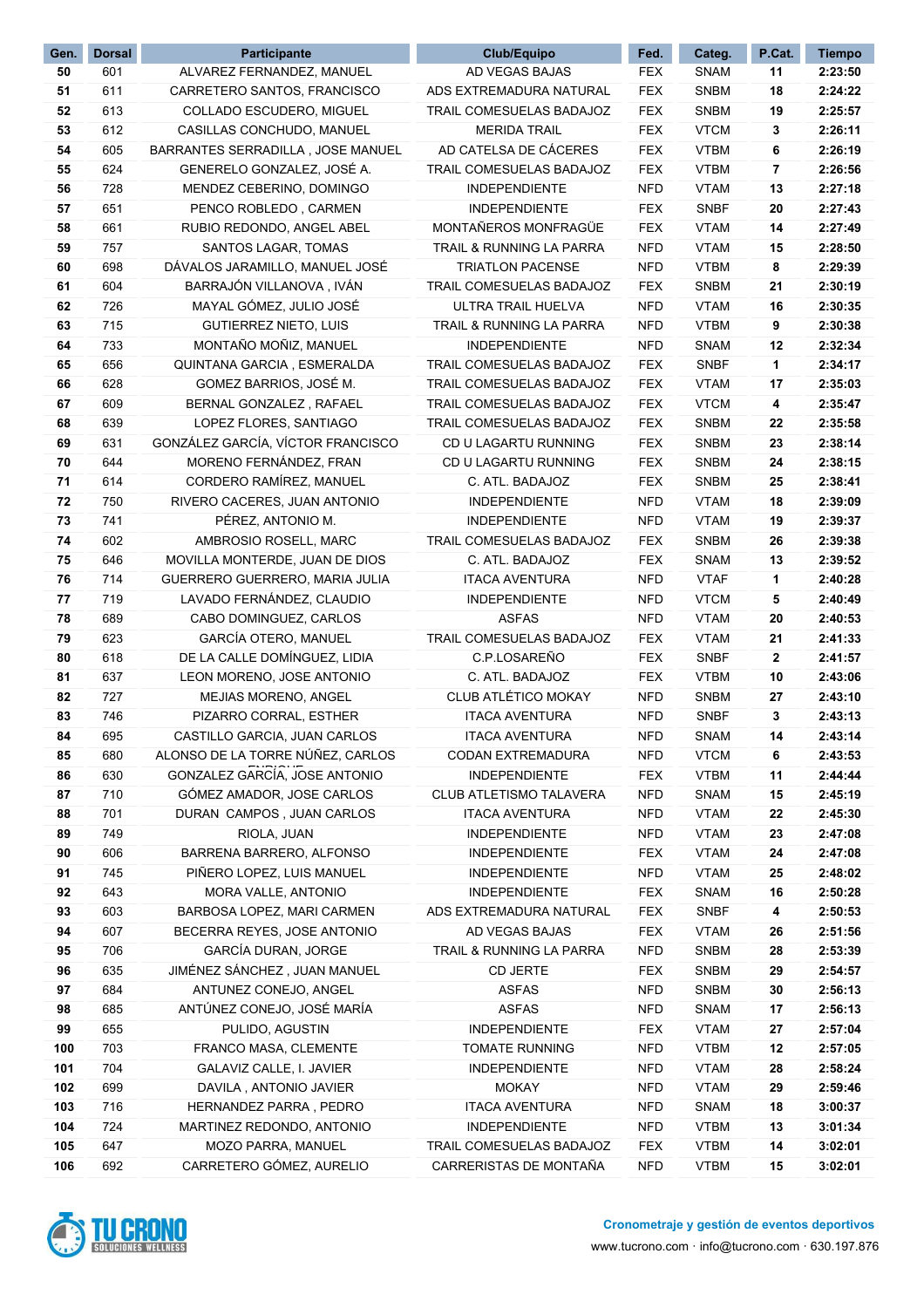| Gen. | <b>Dorsal</b> | Participante                      | Club/Equipo                     | Fed.       | Categ.      | P.Cat.       | <b>Tiempo</b> |
|------|---------------|-----------------------------------|---------------------------------|------------|-------------|--------------|---------------|
| 50   | 601           | ALVAREZ FERNANDEZ, MANUEL         | AD VEGAS BAJAS                  | <b>FEX</b> | <b>SNAM</b> | 11           | 2:23:50       |
| 51   | 611           | CARRETERO SANTOS, FRANCISCO       | ADS EXTREMADURA NATURAL         | <b>FEX</b> | <b>SNBM</b> | 18           | 2:24:22       |
| 52   | 613           | COLLADO ESCUDERO, MIGUEL          | TRAIL COMESUELAS BADAJOZ        | <b>FEX</b> | <b>SNBM</b> | 19           | 2:25:57       |
| 53   | 612           | CASILLAS CONCHUDO, MANUEL         | <b>MERIDA TRAIL</b>             | <b>FEX</b> | <b>VTCM</b> | 3            | 2:26:11       |
| 54   | 605           | BARRANTES SERRADILLA, JOSE MANUEL | AD CATELSA DE CÁCERES           | <b>FEX</b> | <b>VTBM</b> | 6            | 2:26:19       |
| 55   | 624           | GENERELO GONZALEZ, JOSÉ A.        | TRAIL COMESUELAS BADAJOZ        | <b>FEX</b> | <b>VTBM</b> | 7            | 2:26:56       |
| 56   | 728           | MENDEZ CEBERINO, DOMINGO          | <b>INDEPENDIENTE</b>            | <b>NFD</b> | <b>VTAM</b> | 13           | 2:27:18       |
| 57   | 651           | PENCO ROBLEDO, CARMEN             | <b>INDEPENDIENTE</b>            | <b>FEX</b> | <b>SNBF</b> | 20           | 2:27:43       |
| 58   | 661           | RUBIO REDONDO, ANGEL ABEL         | MONTAÑEROS MONFRAGÜE            | <b>FEX</b> | <b>VTAM</b> | 14           | 2:27:49       |
| 59   | 757           | SANTOS LAGAR, TOMAS               | TRAIL & RUNNING LA PARRA        | <b>NFD</b> | <b>VTAM</b> | 15           | 2:28:50       |
| 60   | 698           | DÁVALOS JARAMILLO, MANUEL JOSÉ    | <b>TRIATLON PACENSE</b>         | <b>NFD</b> | <b>VTBM</b> | 8            | 2:29:39       |
| 61   | 604           | BARRAJÓN VILLANOVA, IVÁN          | TRAIL COMESUELAS BADAJOZ        | <b>FEX</b> | <b>SNBM</b> | 21           | 2:30:19       |
| 62   | 726           | MAYAL GÓMEZ, JULIO JOSÉ           | ULTRA TRAIL HUELVA              | <b>NFD</b> | <b>VTAM</b> | 16           | 2:30:35       |
| 63   | 715           | <b>GUTIERREZ NIETO, LUIS</b>      | TRAIL & RUNNING LA PARRA        | <b>NFD</b> | <b>VTBM</b> | 9            | 2:30:38       |
| 64   | 733           | MONTAÑO MOÑIZ, MANUEL             | <b>INDEPENDIENTE</b>            | <b>NFD</b> | <b>SNAM</b> | 12           | 2:32:34       |
| 65   | 656           | QUINTANA GARCIA, ESMERALDA        | <b>TRAIL COMESUELAS BADAJOZ</b> | <b>FEX</b> | <b>SNBF</b> | 1            | 2:34:17       |
| 66   | 628           | GOMEZ BARRIOS, JOSÉ M.            | TRAIL COMESUELAS BADAJOZ        | <b>FEX</b> | <b>VTAM</b> | 17           | 2:35:03       |
| 67   | 609           | BERNAL GONZALEZ, RAFAEL           | TRAIL COMESUELAS BADAJOZ        | <b>FEX</b> | <b>VTCM</b> | 4            | 2:35:47       |
| 68   | 639           | LOPEZ FLORES, SANTIAGO            | TRAIL COMESUELAS BADAJOZ        | <b>FEX</b> | <b>SNBM</b> | 22           | 2:35:58       |
| 69   | 631           | GONZÁLEZ GARCÍA, VÍCTOR FRANCISCO | CD U LAGARTU RUNNING            | <b>FEX</b> | <b>SNBM</b> | 23           | 2:38:14       |
| 70   | 644           | MORENO FERNÁNDEZ, FRAN            | CD U LAGARTU RUNNING            | <b>FEX</b> | <b>SNBM</b> | 24           | 2:38:15       |
| 71   | 614           | CORDERO RAMÍREZ, MANUEL           | C. ATL. BADAJOZ                 | <b>FEX</b> | <b>SNBM</b> | 25           | 2:38:41       |
| 72   | 750           | RIVERO CACERES, JUAN ANTONIO      | <b>INDEPENDIENTE</b>            | <b>NFD</b> | <b>VTAM</b> | 18           | 2:39:09       |
| 73   | 741           | PÉREZ, ANTONIO M.                 | <b>INDEPENDIENTE</b>            | <b>NFD</b> | <b>VTAM</b> | 19           | 2:39:37       |
| 74   | 602           | AMBROSIO ROSELL, MARC             | TRAIL COMESUELAS BADAJOZ        | <b>FEX</b> | <b>SNBM</b> | 26           | 2:39:38       |
| 75   | 646           | MOVILLA MONTERDE, JUAN DE DIOS    | C. ATL. BADAJOZ                 | <b>FEX</b> | <b>SNAM</b> | 13           | 2:39:52       |
| 76   | 714           | GUERRERO GUERRERO, MARIA JULIA    | <b>ITACA AVENTURA</b>           | <b>NFD</b> | <b>VTAF</b> | 1            | 2:40:28       |
| 77   | 719           | LAVADO FERNÁNDEZ, CLAUDIO         | <b>INDEPENDIENTE</b>            | <b>NFD</b> | <b>VTCM</b> | 5            | 2:40:49       |
| 78   | 689           | CABO DOMINGUEZ, CARLOS            | <b>ASFAS</b>                    | <b>NFD</b> | <b>VTAM</b> | 20           | 2:40:53       |
| 79   | 623           | GARCÍA OTERO, MANUEL              | TRAIL COMESUELAS BADAJOZ        | <b>FEX</b> | <b>VTAM</b> | 21           | 2:41:33       |
| 80   | 618           | DE LA CALLE DOMÍNGUEZ, LIDIA      | C.P.LOSAREÑO                    | <b>FEX</b> | <b>SNBF</b> | $\mathbf{2}$ | 2:41:57       |
| 81   | 637           | LEON MORENO, JOSE ANTONIO         | C. ATL. BADAJOZ                 | <b>FEX</b> | <b>VTBM</b> | 10           | 2:43:06       |
| 82   | 727           | MEJIAS MORENO, ANGEL              | CLUB ATLÉTICO MOKAY             | <b>NFD</b> | <b>SNBM</b> | 27           | 2:43:10       |
| 83   | 746           | PIZARRO CORRAL, ESTHER            | <b>ITACA AVENTURA</b>           | <b>NFD</b> | <b>SNBF</b> | 3            | 2:43:13       |
| 84   | 695           | CASTILLO GARCIA, JUAN CARLOS      | <b>ITACA AVENTURA</b>           | <b>NFD</b> | <b>SNAM</b> | 14           | 2:43:14       |
| 85   | 680           | ALONSO DE LA TORRE NÚÑEZ, CARLOS  | <b>CODAN EXTREMADURA</b>        | <b>NFD</b> | <b>VTCM</b> | 6            | 2:43:53       |
| 86   | 630           | GONZALEZ GARCÍA, JOSE ANTONIO     | <b>INDEPENDIENTE</b>            | <b>FEX</b> | <b>VTBM</b> | 11           | 2:44:44       |
| 87   | 710           | GÓMEZ AMADOR, JOSE CARLOS         | CLUB ATLETISMO TALAVERA         | <b>NFD</b> | <b>SNAM</b> | 15           | 2:45:19       |
| 88   | 701           | DURAN CAMPOS, JUAN CARLOS         | <b>ITACA AVENTURA</b>           | <b>NFD</b> | <b>VTAM</b> | 22           | 2:45:30       |
| 89   | 749           | RIOLA, JUAN                       | <b>INDEPENDIENTE</b>            | <b>NFD</b> | <b>VTAM</b> | 23           | 2:47:08       |
| 90   | 606           | BARRENA BARRERO, ALFONSO          | <b>INDEPENDIENTE</b>            | <b>FEX</b> | <b>VTAM</b> | 24           | 2:47:08       |
| 91   | 745           | PIÑERO LOPEZ, LUIS MANUEL         | <b>INDEPENDIENTE</b>            | <b>NFD</b> | <b>VTAM</b> | 25           | 2:48:02       |
| 92   | 643           | MORA VALLE, ANTONIO               | <b>INDEPENDIENTE</b>            | <b>FEX</b> | <b>SNAM</b> | 16           | 2:50:28       |
| 93   | 603           | BARBOSA LOPEZ, MARI CARMEN        | ADS EXTREMADURA NATURAL         | <b>FEX</b> | <b>SNBF</b> | 4            | 2:50:53       |
| 94   | 607           | BECERRA REYES, JOSE ANTONIO       | AD VEGAS BAJAS                  | <b>FEX</b> | <b>VTAM</b> | 26           | 2:51:56       |
| 95   | 706           | GARCÍA DURAN, JORGE               | TRAIL & RUNNING LA PARRA        | <b>NFD</b> | <b>SNBM</b> | 28           | 2:53:39       |
| 96   | 635           | JIMÉNEZ SÁNCHEZ, JUAN MANUEL      | CD JERTE                        | <b>FEX</b> | <b>SNBM</b> | 29           | 2:54:57       |
| 97   | 684           | ANTUNEZ CONEJO, ANGEL             | <b>ASFAS</b>                    | <b>NFD</b> | <b>SNBM</b> | 30           | 2:56:13       |
| 98   | 685           | ANTÚNEZ CONEJO, JOSÉ MARÍA        | <b>ASFAS</b>                    | <b>NFD</b> | <b>SNAM</b> | 17           | 2:56:13       |
| 99   | 655           | PULIDO, AGUSTIN                   | INDEPENDIENTE                   | <b>FEX</b> | <b>VTAM</b> | 27           | 2:57:04       |
| 100  | 703           | FRANCO MASA, CLEMENTE             | <b>TOMATE RUNNING</b>           | <b>NFD</b> | <b>VTBM</b> | 12           | 2:57:05       |
| 101  | 704           | GALAVIZ CALLE, I. JAVIER          | <b>INDEPENDIENTE</b>            | <b>NFD</b> | <b>VTAM</b> | 28           | 2:58:24       |
| 102  | 699           | DAVILA, ANTONIO JAVIER            | <b>MOKAY</b>                    | <b>NFD</b> | <b>VTAM</b> | 29           | 2:59:46       |
| 103  | 716           | HERNANDEZ PARRA, PEDRO            | <b>ITACA AVENTURA</b>           | <b>NFD</b> | <b>SNAM</b> | 18           | 3:00:37       |
| 104  | 724           | MARTINEZ REDONDO, ANTONIO         | <b>INDEPENDIENTE</b>            | <b>NFD</b> | <b>VTBM</b> | 13           | 3:01:34       |
| 105  | 647           | MOZO PARRA, MANUEL                | TRAIL COMESUELAS BADAJOZ        | <b>FEX</b> | <b>VTBM</b> | 14           | 3:02:01       |
| 106  | 692           | CARRETERO GÓMEZ, AURELIO          | CARRERISTAS DE MONTAÑA          | <b>NFD</b> | <b>VTBM</b> | 15           | 3:02:01       |

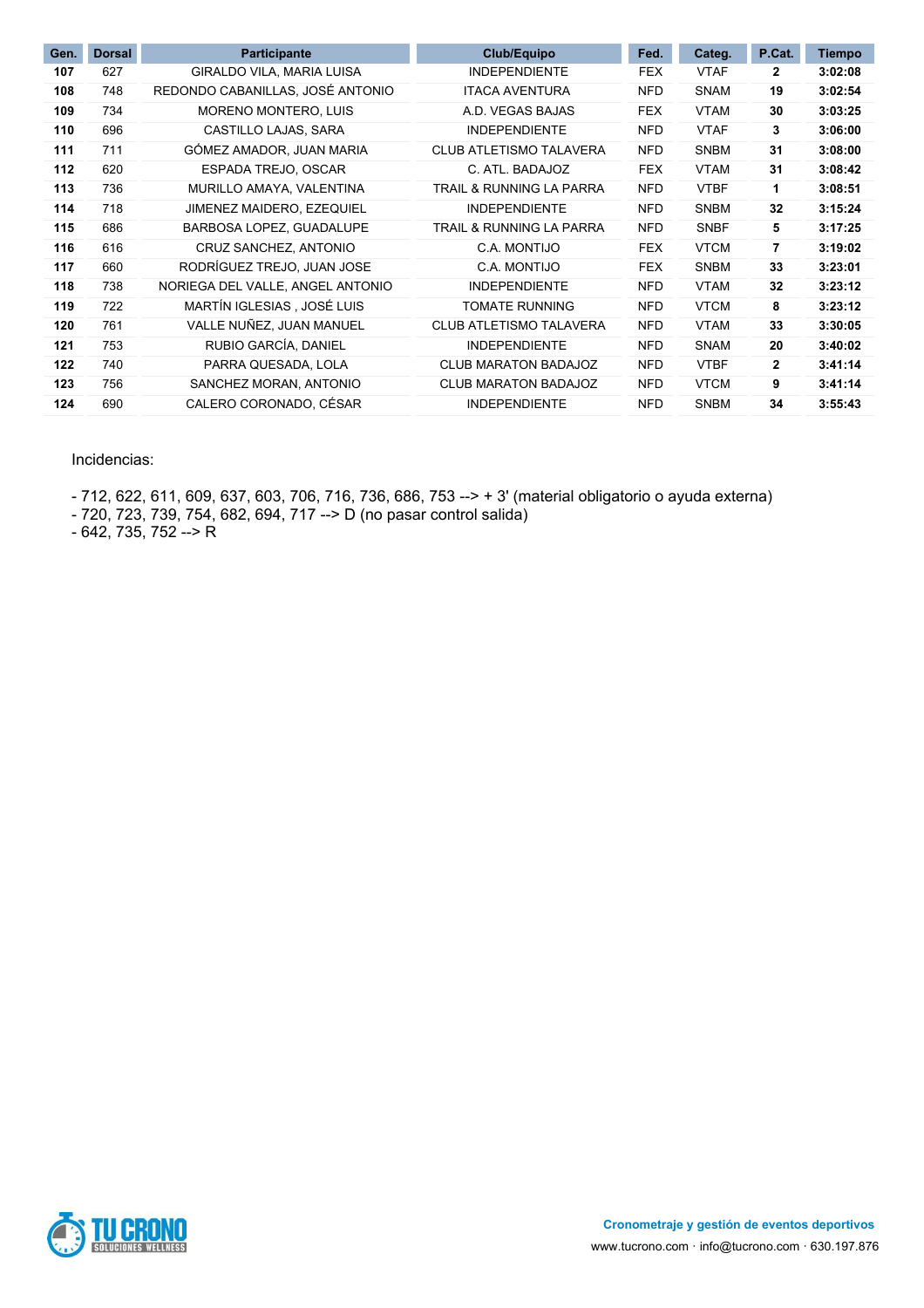| Gen. | <b>Dorsal</b> | Participante                     | Club/Equipo                    | Fed.       | Categ.      | P.Cat.       | <b>Tiempo</b> |
|------|---------------|----------------------------------|--------------------------------|------------|-------------|--------------|---------------|
| 107  | 627           | GIRALDO VILA, MARIA LUISA        | <b>INDEPENDIENTE</b>           | <b>FEX</b> | <b>VTAF</b> | 2            | 3:02:08       |
| 108  | 748           | REDONDO CABANILLAS, JOSÉ ANTONIO | <b>ITACA AVENTURA</b>          | <b>NFD</b> | <b>SNAM</b> | 19           | 3:02:54       |
| 109  | 734           | <b>MORENO MONTERO, LUIS</b>      | A.D. VEGAS BAJAS               | <b>FEX</b> | <b>VTAM</b> | 30           | 3:03:25       |
| 110  | 696           | CASTILLO LAJAS, SARA             | <b>INDEPENDIENTE</b>           | <b>NFD</b> | <b>VTAF</b> | 3            | 3:06:00       |
| 111  | 711           | GÓMEZ AMADOR, JUAN MARIA         | <b>CLUB ATLETISMO TALAVERA</b> | <b>NFD</b> | <b>SNBM</b> | 31           | 3:08:00       |
| 112  | 620           | ESPADA TREJO, OSCAR              | C. ATL. BADAJOZ                | <b>FEX</b> | <b>VTAM</b> | 31           | 3:08:42       |
| 113  | 736           | MURILLO AMAYA, VALENTINA         | TRAIL & RUNNING LA PARRA       | <b>NFD</b> | <b>VTBF</b> | 1            | 3:08:51       |
| 114  | 718           | JIMENEZ MAIDERO, EZEQUIEL        | <b>INDEPENDIENTE</b>           | <b>NFD</b> | <b>SNBM</b> | 32           | 3:15:24       |
| 115  | 686           | BARBOSA LOPEZ, GUADALUPE         | TRAIL & RUNNING LA PARRA       | <b>NFD</b> | <b>SNBF</b> | 5            | 3:17:25       |
| 116  | 616           | CRUZ SANCHEZ, ANTONIO            | C.A. MONTIJO                   | <b>FEX</b> | <b>VTCM</b> | 7            | 3:19:02       |
| 117  | 660           | RODRÍGUEZ TREJO, JUAN JOSE       | C.A. MONTIJO                   | <b>FEX</b> | <b>SNBM</b> | 33           | 3:23:01       |
| 118  | 738           | NORIEGA DEL VALLE, ANGEL ANTONIO | <b>INDEPENDIENTE</b>           | <b>NFD</b> | <b>VTAM</b> | 32           | 3:23:12       |
| 119  | 722           | MARTÍN IGLESIAS, JOSÉ LUIS       | <b>TOMATE RUNNING</b>          | <b>NFD</b> | <b>VTCM</b> | 8            | 3:23:12       |
| 120  | 761           | VALLE NUÑEZ, JUAN MANUEL         | <b>CLUB ATLETISMO TALAVERA</b> | <b>NFD</b> | <b>VTAM</b> | 33           | 3:30:05       |
| 121  | 753           | RUBIO GARCÍA, DANIEL             | <b>INDEPENDIENTE</b>           | <b>NFD</b> | <b>SNAM</b> | 20           | 3:40:02       |
| 122  | 740           | PARRA QUESADA, LOLA              | <b>CLUB MARATON BADAJOZ</b>    | <b>NFD</b> | <b>VTBF</b> | $\mathbf{2}$ | 3:41:14       |
| 123  | 756           | SANCHEZ MORAN, ANTONIO           | CLUB MARATON BADAJOZ           | <b>NFD</b> | <b>VTCM</b> | 9            | 3:41:14       |
| 124  | 690           | CALERO CORONADO, CÉSAR           | <b>INDEPENDIENTE</b>           | <b>NFD</b> | <b>SNBM</b> | 34           | 3:55:43       |

#### Incidencias:

- 712, 622, 611, 609, 637, 603, 706, 716, 736, 686, 753 --> + 3' (material obligatorio o ayuda externa)

- 720, 723, 739, 754, 682, 694, 717 --> D (no pasar control salida)

- 642, 735, 752 --> R

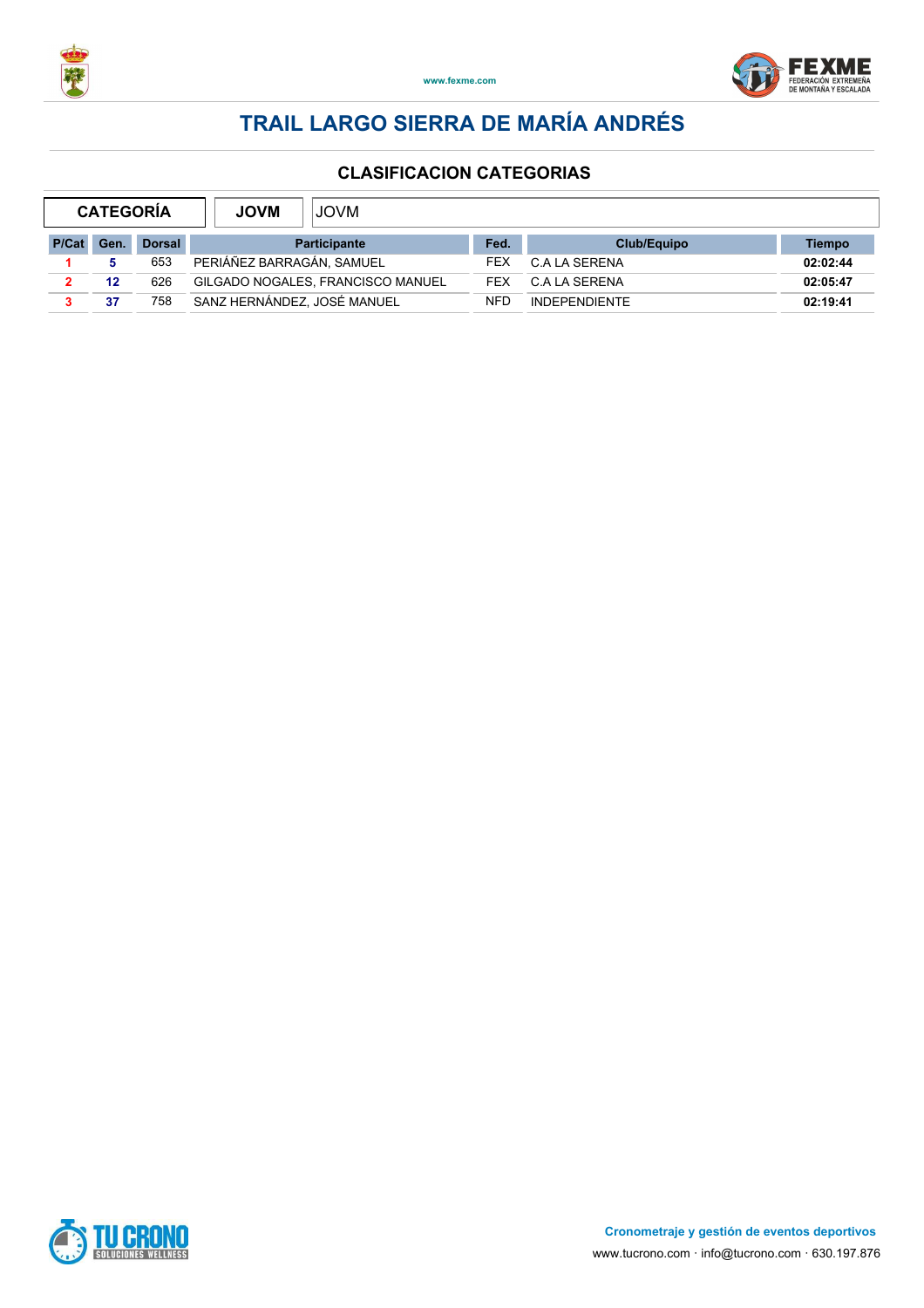



| <b>CATEGORIA</b> |      |               | <b>JOVM</b><br><b>JOVM</b>        |            |                      |          |  |  |
|------------------|------|---------------|-----------------------------------|------------|----------------------|----------|--|--|
| P/Cat            | Gen. | <b>Dorsal</b> | <b>Participante</b>               | Fed.       | Club/Equipo          | Tiempo   |  |  |
|                  |      | 653           | PERIÁÑEZ BARRAGÁN, SAMUEL         | FEX        | C.A LA SERENA        | 02:02:44 |  |  |
|                  | 12   | 626           | GILGADO NOGALES, FRANCISCO MANUEL | <b>FFX</b> | C.A LA SERENA        | 02:05:47 |  |  |
|                  | 37   | 758           | SANZ HERNÁNDEZ. JOSÉ MANUEL       | <b>NFD</b> | <b>INDEPENDIENTE</b> | 02:19:41 |  |  |

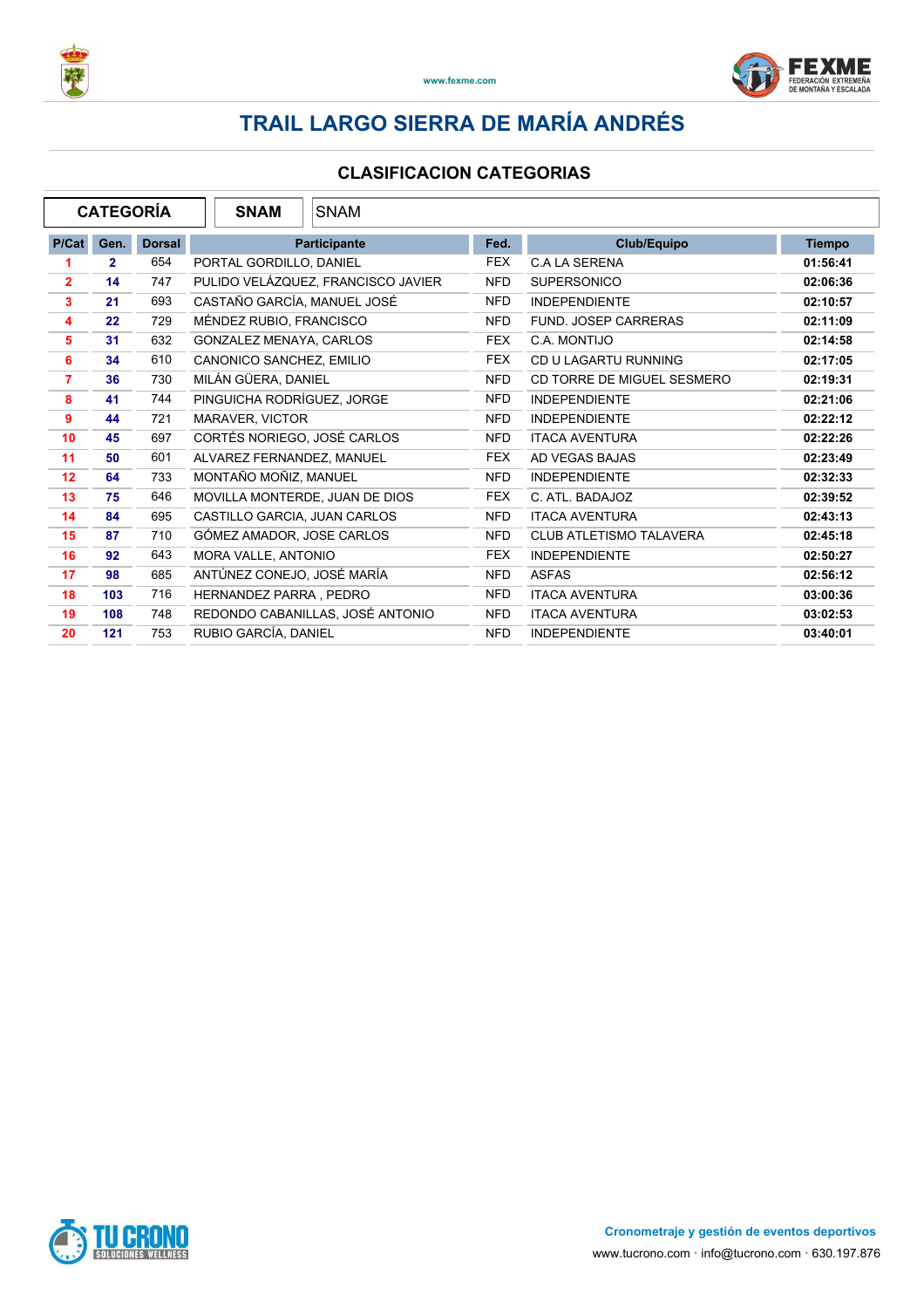



|                |              | <b>CATEGORÍA</b> | <b>SNAM</b><br><b>SNAM</b>         |            |                                |               |
|----------------|--------------|------------------|------------------------------------|------------|--------------------------------|---------------|
| P/Cat          | Gen.         | <b>Dorsal</b>    | Participante                       | Fed.       | Club/Equipo                    | <b>Tiempo</b> |
| 1              | $\mathbf{2}$ | 654              | PORTAL GORDILLO, DANIEL            | <b>FEX</b> | <b>C.A LA SERENA</b>           | 01:56:41      |
| $\overline{2}$ | 14           | 747              | PULIDO VELÁZQUEZ, FRANCISCO JAVIER | <b>NFD</b> | <b>SUPERSONICO</b>             | 02:06:36      |
| $\mathbf{3}$   | 21           | 693              | CASTAÑO GARCÍA, MANUEL JOSÉ        | <b>NFD</b> | <b>INDEPENDIENTE</b>           | 02:10:57      |
| 4              | 22           | 729              | MÉNDEZ RUBIO, FRANCISCO            | <b>NFD</b> | <b>FUND. JOSEP CARRERAS</b>    | 02:11:09      |
| 5              | 31           | 632              | GONZALEZ MENAYA, CARLOS            | <b>FEX</b> | C.A. MONTIJO                   | 02:14:58      |
| 6              | 34           | 610              | CANONICO SANCHEZ, EMILIO           | <b>FEX</b> | CD U LAGARTU RUNNING           | 02:17:05      |
| $\overline{7}$ | 36           | 730              | MILÁN GÜERA, DANIEL                | <b>NFD</b> | CD TORRE DE MIGUEL SESMERO     | 02:19:31      |
| 8              | 41           | 744              | PINGUICHA RODRÍGUEZ, JORGE         | <b>NFD</b> | <b>INDEPENDIENTE</b>           | 02:21:06      |
| 9              | 44           | 721              | MARAVER, VICTOR                    | <b>NFD</b> | <b>INDEPENDIENTE</b>           | 02:22:12      |
| 10             | 45           | 697              | CORTÉS NORIEGO, JOSÉ CARLOS        | <b>NFD</b> | <b>ITACA AVENTURA</b>          | 02:22:26      |
| 11             | 50           | 601              | ALVAREZ FERNANDEZ, MANUEL          | <b>FEX</b> | AD VEGAS BAJAS                 | 02:23:49      |
| 12             | 64           | 733              | MONTAÑO MOÑIZ, MANUEL              | <b>NFD</b> | <b>INDEPENDIENTE</b>           | 02:32:33      |
| 13             | 75           | 646              | MOVILLA MONTERDE, JUAN DE DIOS     | <b>FEX</b> | C. ATL. BADAJOZ                | 02:39:52      |
| 14             | 84           | 695              | CASTILLO GARCIA, JUAN CARLOS       | <b>NFD</b> | <b>ITACA AVENTURA</b>          | 02:43:13      |
| 15             | 87           | 710              | GÓMEZ AMADOR, JOSE CARLOS          | <b>NFD</b> | <b>CLUB ATLETISMO TALAVERA</b> | 02:45:18      |
| 16             | 92           | 643              | MORA VALLE, ANTONIO                | <b>FEX</b> | <b>INDEPENDIENTE</b>           | 02:50:27      |
| 17             | 98           | 685              | ANTÚNEZ CONEJO, JOSÉ MARÍA         | <b>NFD</b> | <b>ASFAS</b>                   | 02:56:12      |
| 18             | 103          | 716              | HERNANDEZ PARRA, PEDRO             | <b>NFD</b> | <b>ITACA AVENTURA</b>          | 03:00:36      |
| 19             | 108          | 748              | REDONDO CABANILLAS, JOSÉ ANTONIO   | <b>NFD</b> | <b>ITACA AVENTURA</b>          | 03:02:53      |
| 20             | 121          | 753              | RUBIO GARCÍA, DANIEL               | <b>NFD</b> | <b>INDEPENDIENTE</b>           | 03:40:01      |

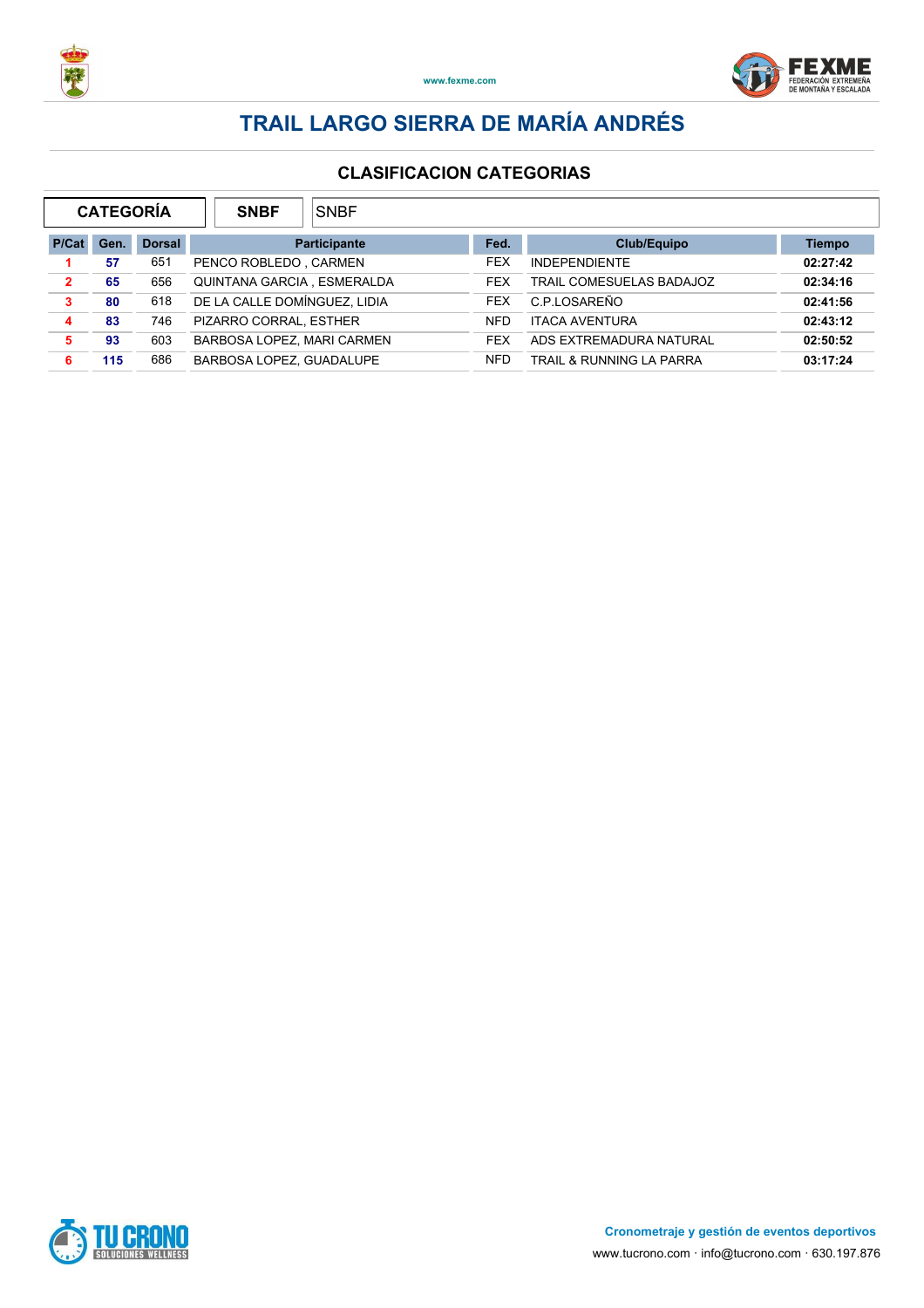



|                | <b>CATEGORÍA</b> |               | <b>SNBF</b>                  | <b>SNBF</b>              |            |                                     |               |  |
|----------------|------------------|---------------|------------------------------|--------------------------|------------|-------------------------------------|---------------|--|
| P/Cat          | Gen.             | <b>Dorsal</b> |                              | <b>Participante</b>      | Fed.       | Club/Equipo                         | <b>Tiempo</b> |  |
|                | 57               | 651           | PENCO ROBLEDO, CARMEN        |                          | <b>FEX</b> | <b>INDEPENDIENTE</b>                | 02:27:42      |  |
| $\overline{2}$ | 65               | 656           | QUINTANA GARCIA, ESMERALDA   |                          | <b>FFX</b> | TRAIL COMESUELAS BADAJOZ            | 02:34:16      |  |
| 3              | 80               | 618           | DE LA CALLE DOMÍNGUEZ, LIDIA |                          | <b>FEX</b> | C.P.LOSAREÑO                        | 02:41:56      |  |
| 4              | 83               | 746           | PIZARRO CORRAL, ESTHER       |                          | <b>NFD</b> | <b>ITACA AVENTURA</b>               | 02:43:12      |  |
| 5.             | 93               | 603           | BARBOSA LOPEZ, MARI CARMEN   |                          | <b>FEX</b> | ADS EXTREMADURA NATURAL             | 02:50:52      |  |
| 6              | 115              | 686           |                              | BARBOSA LOPEZ. GUADALUPE |            | <b>TRAIL &amp; RUNNING LA PARRA</b> | 03:17:24      |  |

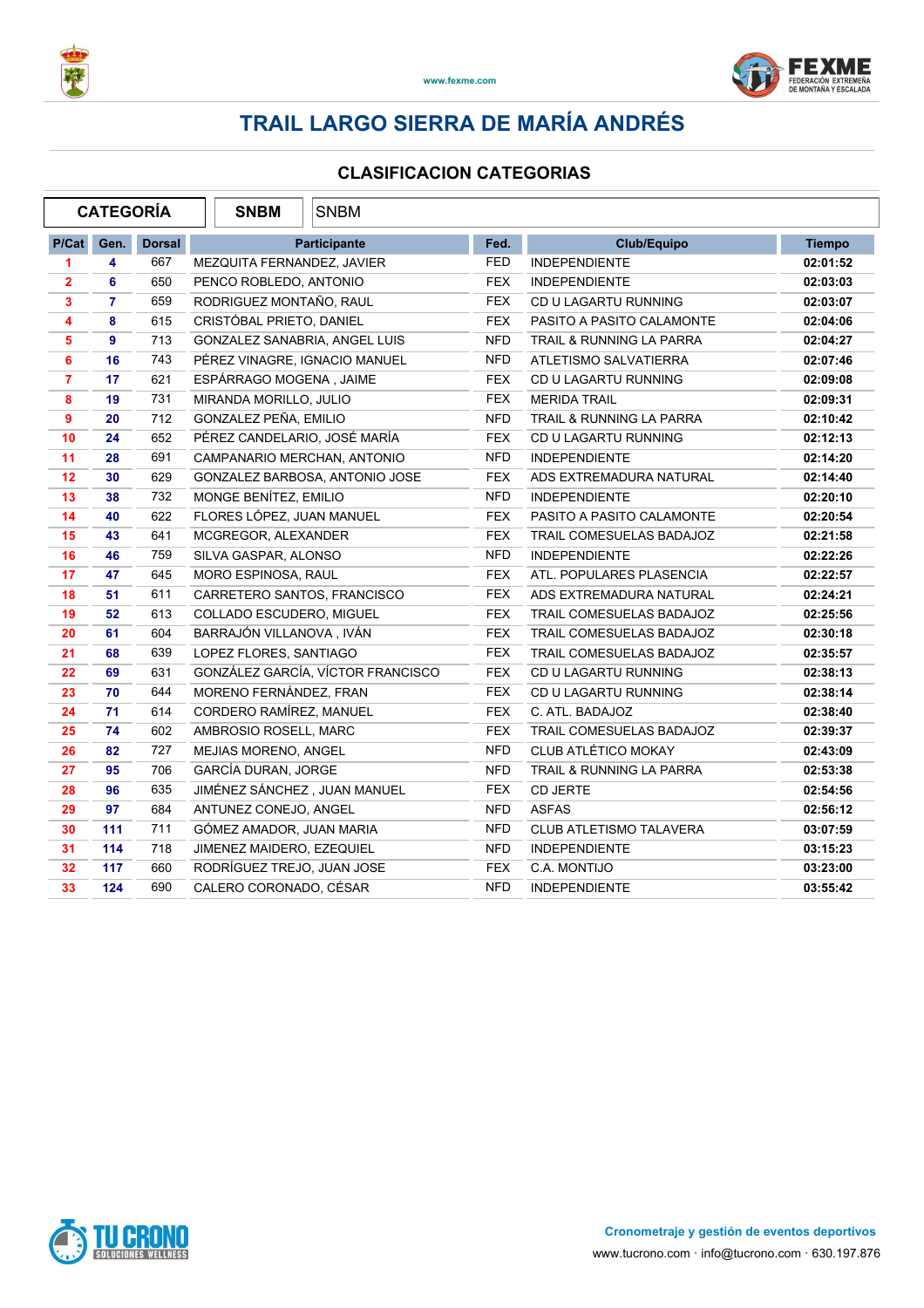



| <b>CATEGORÍA</b> |                |               | <b>SNBM</b>                   | <b>SNBM</b>                       |            |                                |               |
|------------------|----------------|---------------|-------------------------------|-----------------------------------|------------|--------------------------------|---------------|
| P/Cat            | Gen.           | <b>Dorsal</b> |                               | <b>Participante</b>               | Fed.       | <b>Club/Equipo</b>             | <b>Tiempo</b> |
| 1                | 4              | 667           | MEZQUITA FERNANDEZ, JAVIER    |                                   | <b>FED</b> | <b>INDEPENDIENTE</b>           | 02:01:52      |
| $\mathbf{2}$     | 6              | 650           | PENCO ROBLEDO, ANTONIO        |                                   | <b>FEX</b> | <b>INDEPENDIENTE</b>           | 02:03:03      |
| 3                | $\overline{7}$ | 659           | RODRIGUEZ MONTAÑO, RAUL       |                                   | <b>FEX</b> | CD U LAGARTU RUNNING           | 02:03:07      |
| 4                | 8              | 615           | CRISTÓBAL PRIETO, DANIEL      |                                   | <b>FEX</b> | PASITO A PASITO CALAMONTE      | 02:04:06      |
| 5                | 9              | 713           | GONZALEZ SANABRIA, ANGEL LUIS |                                   | <b>NFD</b> | TRAIL & RUNNING LA PARRA       | 02:04:27      |
| 6                | 16             | 743           | PÉREZ VINAGRE, IGNACIO MANUEL |                                   | <b>NFD</b> | ATLETISMO SALVATIERRA          | 02:07:46      |
| $\overline{7}$   | 17             | 621           | ESPÁRRAGO MOGENA, JAIME       |                                   | <b>FEX</b> | CD U LAGARTU RUNNING           | 02:09:08      |
| 8                | 19             | 731           | MIRANDA MORILLO, JULIO        |                                   | <b>FEX</b> | <b>MERIDA TRAIL</b>            | 02:09:31      |
| 9                | 20             | 712           | GONZALEZ PEÑA, EMILIO         |                                   | <b>NFD</b> | TRAIL & RUNNING LA PARRA       | 02:10:42      |
| 10               | 24             | 652           | PÉREZ CANDELARIO, JOSÉ MARÍA  |                                   | <b>FEX</b> | CD U LAGARTU RUNNING           | 02:12:13      |
| 11               | 28             | 691           | CAMPANARIO MERCHAN, ANTONIO   |                                   | <b>NFD</b> | <b>INDEPENDIENTE</b>           | 02:14:20      |
| 12               | 30             | 629           |                               | GONZALEZ BARBOSA, ANTONIO JOSE    | FEX        | ADS EXTREMADURA NATURAL        | 02:14:40      |
| 13               | 38             | 732           | MONGE BENÍTEZ, EMILIO         |                                   | <b>NFD</b> | <b>INDEPENDIENTE</b>           | 02:20:10      |
| 14               | 40             | 622           | FLORES LÓPEZ, JUAN MANUEL     |                                   | <b>FEX</b> | PASITO A PASITO CALAMONTE      | 02:20:54      |
| 15               | 43             | 641           | MCGREGOR, ALEXANDER           |                                   | <b>FEX</b> | TRAIL COMESUELAS BADAJOZ       | 02:21:58      |
| 16               | 46             | 759           | SILVA GASPAR, ALONSO          |                                   | <b>NFD</b> | <b>INDEPENDIENTE</b>           | 02:22:26      |
| 17               | 47             | 645           | MORO ESPINOSA, RAUL           |                                   | <b>FEX</b> | ATL. POPULARES PLASENCIA       | 02:22:57      |
| 18               | 51             | 611           | CARRETERO SANTOS, FRANCISCO   |                                   | <b>FEX</b> | ADS EXTREMADURA NATURAL        | 02:24:21      |
| 19               | 52             | 613           | COLLADO ESCUDERO, MIGUEL      |                                   | <b>FEX</b> | TRAIL COMESUELAS BADAJOZ       | 02:25:56      |
| 20               | 61             | 604           | BARRAJÓN VILLANOVA, IVÁN      |                                   | <b>FEX</b> | TRAIL COMESUELAS BADAJOZ       | 02:30:18      |
| 21               | 68             | 639           | LOPEZ FLORES, SANTIAGO        |                                   | <b>FEX</b> | TRAIL COMESUELAS BADAJOZ       | 02:35:57      |
| 22               | 69             | 631           |                               | GONZÁLEZ GARCÍA, VÍCTOR FRANCISCO | <b>FEX</b> | CD U LAGARTU RUNNING           | 02:38:13      |
| 23               | 70             | 644           | MORENO FERNÁNDEZ, FRAN        |                                   | <b>FEX</b> | CD U LAGARTU RUNNING           | 02:38:14      |
| 24               | 71             | 614           | CORDERO RAMÍREZ, MANUEL       |                                   | <b>FEX</b> | C. ATL. BADAJOZ                | 02:38:40      |
| 25               | 74             | 602           | AMBROSIO ROSELL, MARC         |                                   | <b>FEX</b> | TRAIL COMESUELAS BADAJOZ       | 02:39:37      |
| 26               | 82             | 727           | MEJIAS MORENO, ANGEL          |                                   | <b>NFD</b> | CLUB ATLÉTICO MOKAY            | 02:43:09      |
| 27               | 95             | 706           | GARCÍA DURAN, JORGE           |                                   | <b>NFD</b> | TRAIL & RUNNING LA PARRA       | 02:53:38      |
| 28               | 96             | 635           | JIMÉNEZ SÁNCHEZ, JUAN MANUEL  |                                   | <b>FEX</b> | CD JERTE                       | 02:54:56      |
| 29               | 97             | 684           | ANTUNEZ CONEJO, ANGEL         |                                   | <b>NFD</b> | <b>ASFAS</b>                   | 02:56:12      |
| 30               | 111            | 711           | GÓMEZ AMADOR, JUAN MARIA      |                                   | <b>NFD</b> | <b>CLUB ATLETISMO TALAVERA</b> | 03:07:59      |
| 31               | 114            | 718           | JIMENEZ MAIDERO, EZEQUIEL     |                                   | <b>NFD</b> | <b>INDEPENDIENTE</b>           | 03:15:23      |
| 32               | 117            | 660           | RODRÍGUEZ TREJO, JUAN JOSE    |                                   | <b>FEX</b> | C.A. MONTIJO                   | 03:23:00      |
| 33               | 124            | 690           | CALERO CORONADO, CÉSAR        |                                   | <b>NFD</b> | <b>INDEPENDIENTE</b>           | 03:55:42      |

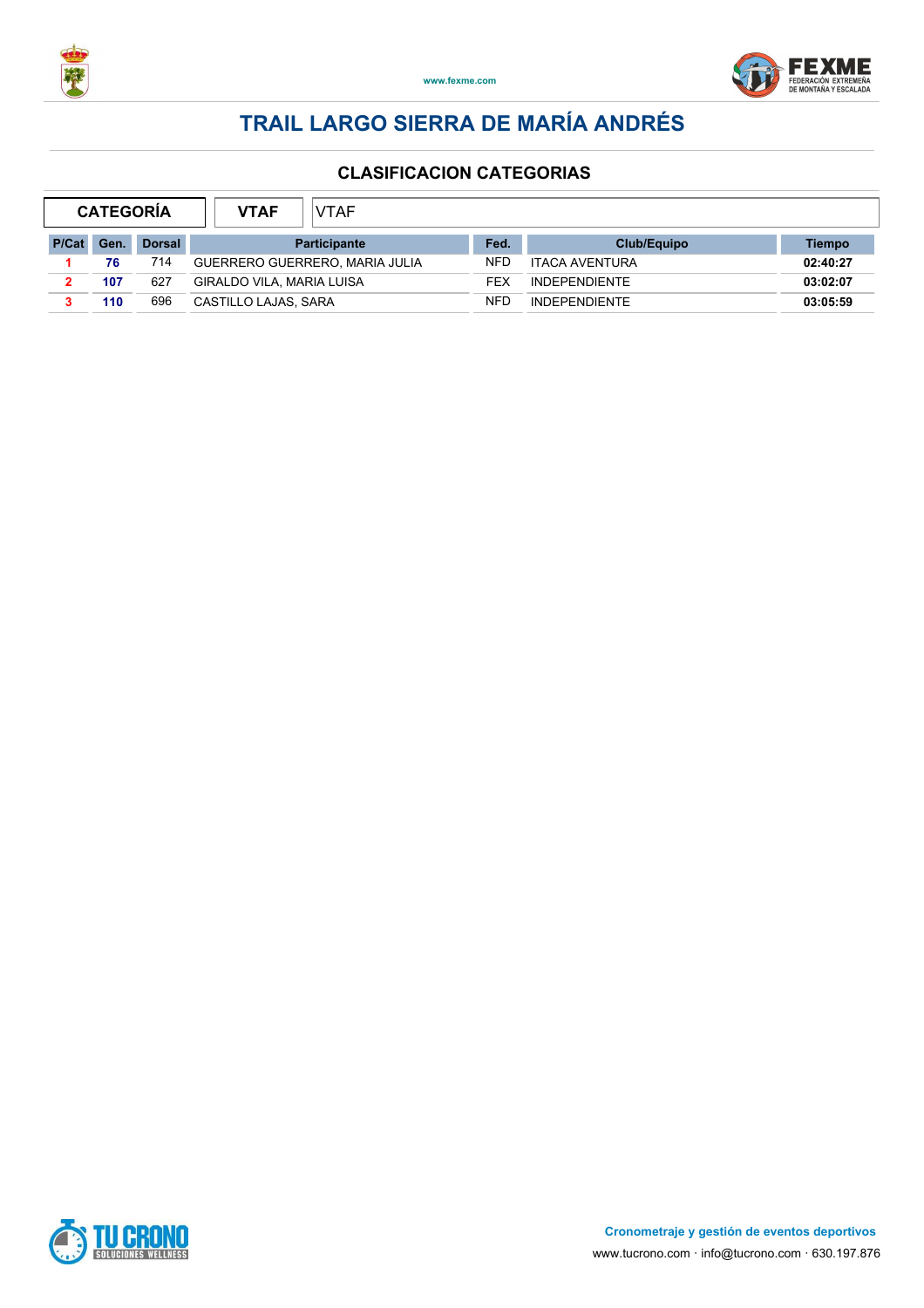



| <b>CATEGORÍA</b> |            |               | VTAF<br><b>VTAF</b>            |            |                       |          |
|------------------|------------|---------------|--------------------------------|------------|-----------------------|----------|
| P/Cat            | <b>Gen</b> | <b>Dorsal</b> | <b>Participante</b>            | Fed.       | Club/Equipo           | Tiempo   |
|                  | 76         | 714           | GUERRERO GUERRERO, MARIA JULIA | <b>NFD</b> | <b>ITACA AVENTURA</b> | 02:40:27 |
|                  | 107        | 627           | GIRALDO VILA, MARIA LUISA      | FEX        | <b>INDEPENDIENTE</b>  | 03:02:07 |
|                  | 110        | 696           | CASTILLO LAJAS, SARA           | <b>NFD</b> | <b>INDEPENDIENTE</b>  | 03:05:59 |

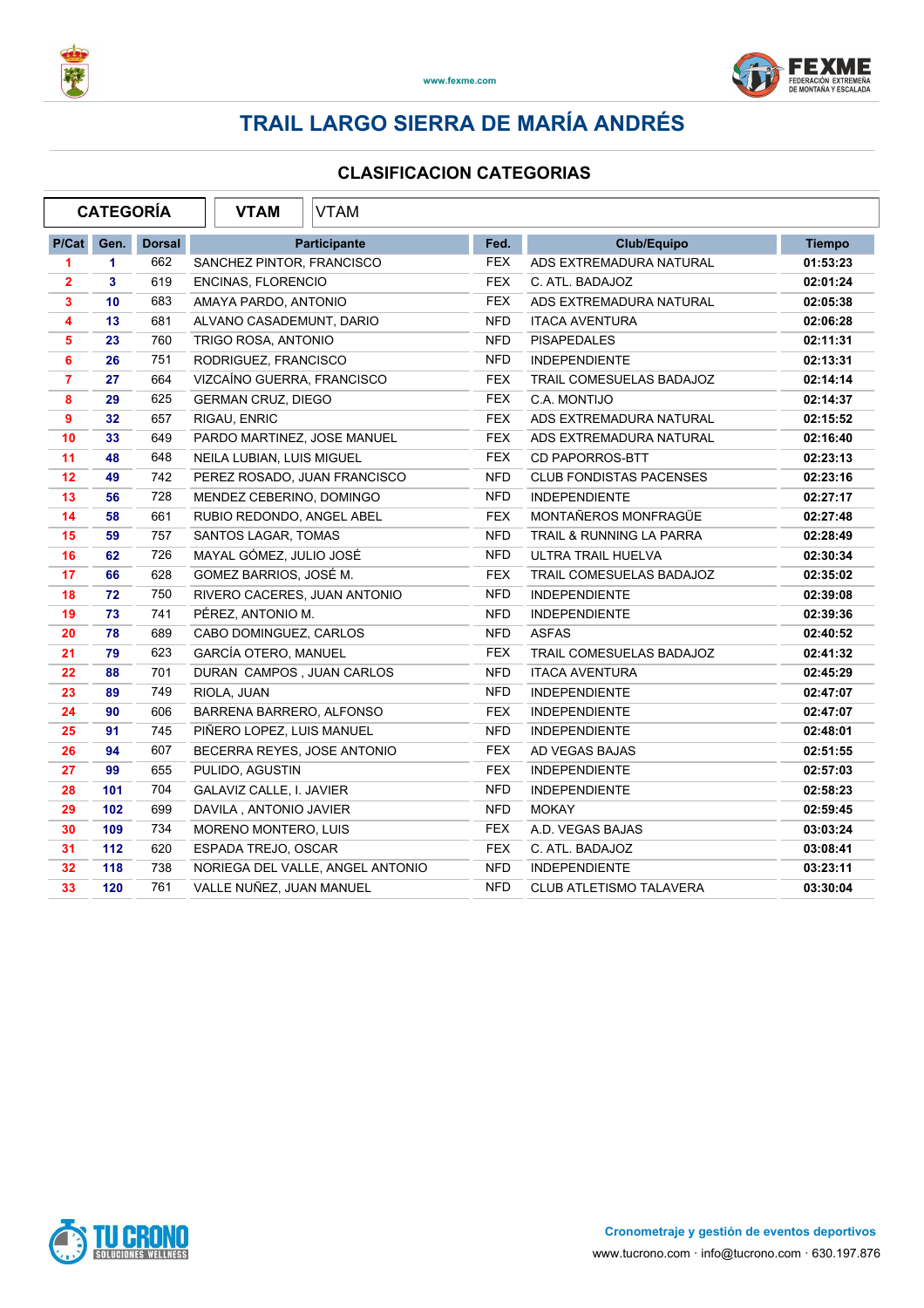



#### **CLASIFICACION CATEGORIAS**

| <b>CATEGORÍA</b> |      |               | <b>VTAM</b><br>VTAM              |            |                                     |               |
|------------------|------|---------------|----------------------------------|------------|-------------------------------------|---------------|
| P/Cat            | Gen. | <b>Dorsal</b> | <b>Participante</b>              | Fed.       | Club/Equipo                         | <b>Tiempo</b> |
| 1                | 1.   | 662           | SANCHEZ PINTOR, FRANCISCO        | <b>FEX</b> | ADS EXTREMADURA NATURAL             | 01:53:23      |
| $\mathbf{2}$     | 3    | 619           | ENCINAS, FLORENCIO               | <b>FEX</b> | C. ATL. BADAJOZ                     | 02:01:24      |
| 3                | 10   | 683           | AMAYA PARDO, ANTONIO             | <b>FEX</b> | ADS EXTREMADURA NATURAL             | 02:05:38      |
| 4                | 13   | 681           | ALVANO CASADEMUNT, DARIO         | <b>NFD</b> | <b>ITACA AVENTURA</b>               | 02:06:28      |
| 5                | 23   | 760           | TRIGO ROSA, ANTONIO              | <b>NFD</b> | <b>PISAPEDALES</b>                  | 02:11:31      |
| 6                | 26   | 751           | RODRIGUEZ, FRANCISCO             | <b>NFD</b> | <b>INDEPENDIENTE</b>                | 02:13:31      |
| $\overline{7}$   | 27   | 664           | VIZCAÍNO GUERRA, FRANCISCO       | <b>FEX</b> | TRAIL COMESUELAS BADAJOZ            | 02:14:14      |
| 8                | 29   | 625           | <b>GERMAN CRUZ, DIEGO</b>        | <b>FEX</b> | C.A. MONTIJO                        | 02:14:37      |
| 9                | 32   | 657           | RIGAU, ENRIC                     | <b>FEX</b> | ADS EXTREMADURA NATURAL             | 02:15:52      |
| 10               | 33   | 649           | PARDO MARTINEZ, JOSE MANUEL      | <b>FEX</b> | ADS EXTREMADURA NATURAL             | 02:16:40      |
| 11               | 48   | 648           | NEILA LUBIAN, LUIS MIGUEL        | <b>FEX</b> | CD PAPORROS-BTT                     | 02:23:13      |
| 12               | 49   | 742           | PEREZ ROSADO, JUAN FRANCISCO     | <b>NFD</b> | <b>CLUB FONDISTAS PACENSES</b>      | 02:23:16      |
| 13               | 56   | 728           | MENDEZ CEBERINO, DOMINGO         | <b>NFD</b> | <b>INDEPENDIENTE</b>                | 02:27:17      |
| 14               | 58   | 661           | RUBIO REDONDO, ANGEL ABEL        | <b>FEX</b> | MONTAÑEROS MONFRAGÜE                | 02:27:48      |
| 15               | 59   | 757           | <b>SANTOS LAGAR, TOMAS</b>       | <b>NFD</b> | <b>TRAIL &amp; RUNNING LA PARRA</b> | 02:28:49      |
| 16               | 62   | 726           | MAYAL GÓMEZ, JULIO JOSÉ          | <b>NFD</b> | ULTRA TRAIL HUELVA                  | 02:30:34      |
| 17               | 66   | 628           | GOMEZ BARRIOS, JOSÉ M.           | <b>FEX</b> | TRAIL COMESUELAS BADAJOZ            | 02:35:02      |
| 18               | 72   | 750           | RIVERO CACERES, JUAN ANTONIO     | <b>NFD</b> | <b>INDEPENDIENTE</b>                | 02:39:08      |
| 19               | 73   | 741           | PÉREZ, ANTONIO M.                | <b>NFD</b> | <b>INDEPENDIENTE</b>                | 02:39:36      |
| 20               | 78   | 689           | CABO DOMINGUEZ, CARLOS           | <b>NFD</b> | <b>ASFAS</b>                        | 02:40:52      |
| 21               | 79   | 623           | <b>GARCÍA OTERO, MANUEL</b>      | <b>FEX</b> | TRAIL COMESUELAS BADAJOZ            | 02:41:32      |
| 22               | 88   | 701           | DURAN CAMPOS, JUAN CARLOS        | <b>NFD</b> | <b>ITACA AVENTURA</b>               | 02:45:29      |
| 23               | 89   | 749           | RIOLA, JUAN                      | <b>NFD</b> | <b>INDEPENDIENTE</b>                | 02:47:07      |
| 24               | 90   | 606           | BARRENA BARRERO, ALFONSO         | <b>FEX</b> | <b>INDEPENDIENTE</b>                | 02:47:07      |
| 25               | 91   | 745           | PIÑERO LOPEZ, LUIS MANUEL        | <b>NFD</b> | <b>INDEPENDIENTE</b>                | 02:48:01      |
| 26               | 94   | 607           | BECERRA REYES, JOSE ANTONIO      | <b>FEX</b> | AD VEGAS BAJAS                      | 02:51:55      |
| 27               | 99   | 655           | PULIDO, AGUSTIN                  | <b>FEX</b> | <b>INDEPENDIENTE</b>                | 02:57:03      |
| 28               | 101  | 704           | GALAVIZ CALLE, I. JAVIER         | <b>NFD</b> | <b>INDEPENDIENTE</b>                | 02:58:23      |
| 29               | 102  | 699           | DAVILA, ANTONIO JAVIER           | <b>NFD</b> | <b>MOKAY</b>                        | 02:59:45      |
| 30               | 109  | 734           | MORENO MONTERO, LUIS             | <b>FEX</b> | A.D. VEGAS BAJAS                    | 03:03:24      |
| 31               | 112  | 620           | ESPADA TREJO, OSCAR              | <b>FEX</b> | C. ATL. BADAJOZ                     | 03:08:41      |
| 32               | 118  | 738           | NORIEGA DEL VALLE, ANGEL ANTONIO | <b>NFD</b> | <b>INDEPENDIENTE</b>                | 03:23:11      |
| 33               | 120  | 761           | VALLE NUÑEZ, JUAN MANUEL         | <b>NFD</b> | <b>CLUB ATLETISMO TALAVERA</b>      | 03:30:04      |

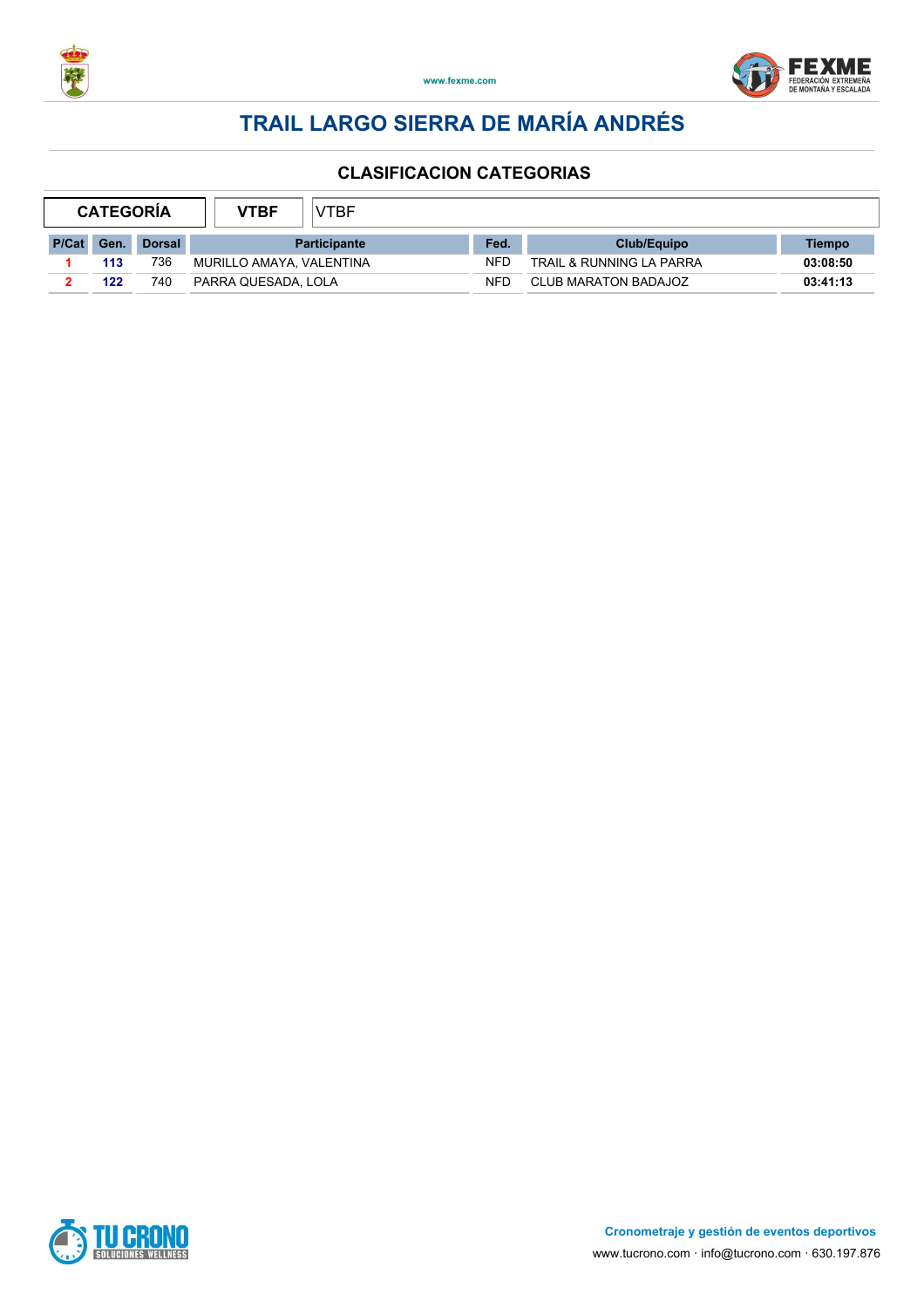



| <b>CATEGORIA</b> |      | VTBF          | <b>VTBF</b>              |                     |            |                             |          |
|------------------|------|---------------|--------------------------|---------------------|------------|-----------------------------|----------|
| P/Cat            | Gen. | <b>Dorsal</b> |                          | <b>Participante</b> | Fed.       | Club/Equipo                 | Tiempo   |
|                  | 113  | 736           | MURILLO AMAYA, VALENTINA |                     | <b>NFD</b> | TRAIL & RUNNING LA PARRA    | 03:08:50 |
|                  | 122  | 740           | PARRA QUESADA. LOLA      |                     | NFD        | <b>CLUB MARATON BADAJOZ</b> | 03:41:13 |

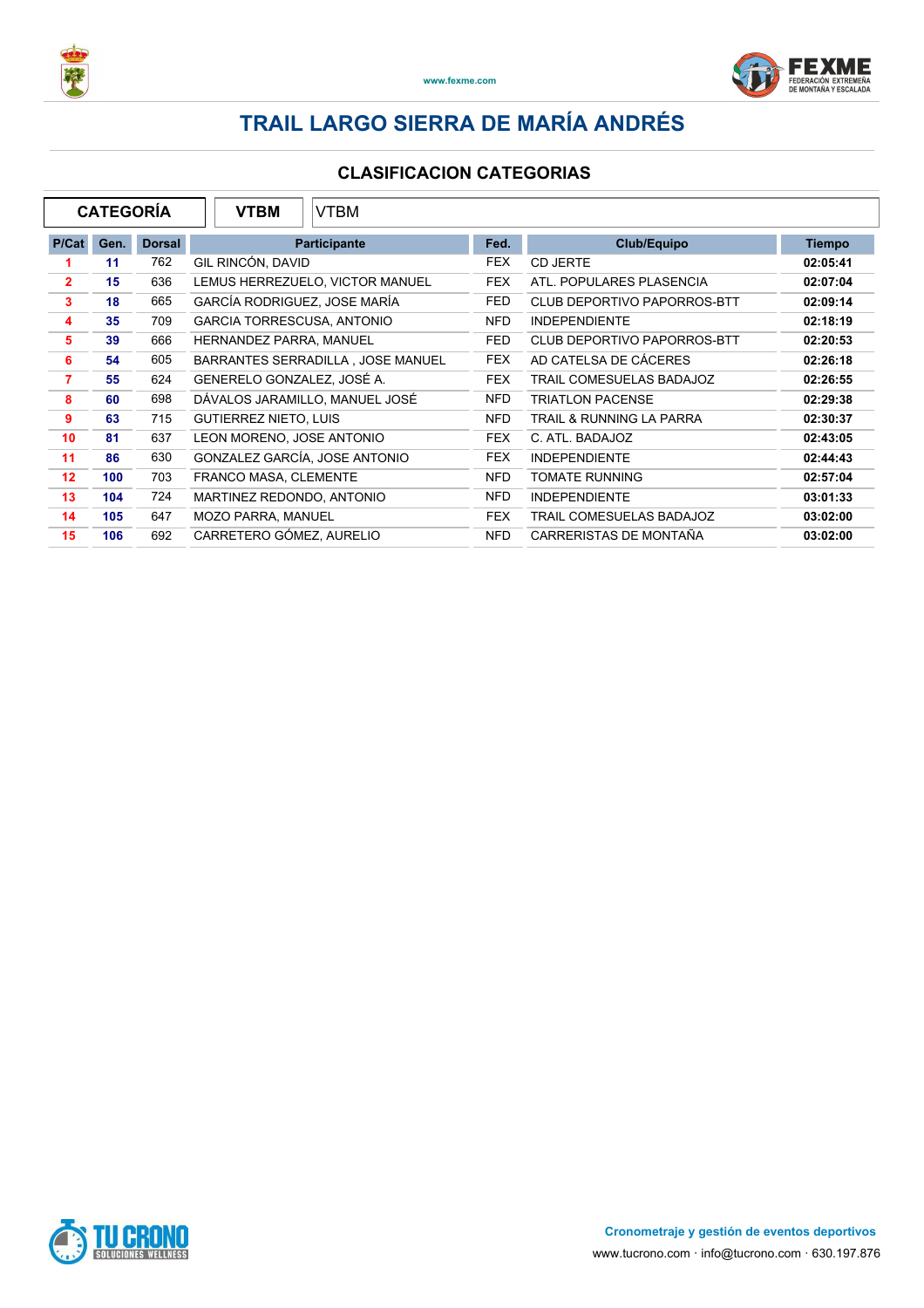



|                | <b>CATEGORÍA</b> |               | <b>VTBM</b><br><b>VTBM</b>        |            |                                    |               |
|----------------|------------------|---------------|-----------------------------------|------------|------------------------------------|---------------|
| P/Cat          | Gen.             | <b>Dorsal</b> | <b>Participante</b>               | Fed.       | <b>Club/Equipo</b>                 | <b>Tiempo</b> |
|                | 11               | 762           | GIL RINCÓN, DAVID                 | <b>FEX</b> | CD JERTE                           | 02:05:41      |
| $\mathbf{2}$   | 15               | 636           | LEMUS HERREZUELO, VICTOR MANUEL   | <b>FEX</b> | ATL. POPULARES PLASENCIA           | 02:07:04      |
| $\mathbf{3}$   | 18               | 665           | GARCÍA RODRIGUEZ, JOSE MARÍA      | <b>FED</b> | <b>CLUB DEPORTIVO PAPORROS-BTT</b> | 02:09:14      |
| 4              | 35               | 709           | <b>GARCIA TORRESCUSA, ANTONIO</b> | NFD.       | <b>INDEPENDIENTE</b>               | 02:18:19      |
| 5              | 39               | 666           | HERNANDEZ PARRA, MANUEL           | <b>FED</b> | <b>CLUB DEPORTIVO PAPORROS-BTT</b> | 02:20:53      |
| 6              | 54               | 605           | BARRANTES SERRADILLA, JOSE MANUEL | <b>FEX</b> | AD CATELSA DE CÁCERES              | 02:26:18      |
| $\overline{7}$ | 55               | 624           | GENERELO GONZALEZ, JOSÉ A.        | <b>FEX</b> | TRAIL COMESUELAS BADAJOZ           | 02:26:55      |
| 8              | 60               | 698           | DÁVALOS JARAMILLO, MANUEL JOSÉ    | <b>NFD</b> | <b>TRIATLON PACENSE</b>            | 02:29:38      |
| 9              | 63               | 715           | <b>GUTIERREZ NIETO, LUIS</b>      | <b>NFD</b> | TRAIL & RUNNING LA PARRA           | 02:30:37      |
| 10             | 81               | 637           | LEON MORENO, JOSE ANTONIO         | <b>FEX</b> | C. ATL. BADAJOZ                    | 02:43:05      |
| 11             | 86               | 630           | GONZALEZ GARCÍA, JOSE ANTONIO     | <b>FEX</b> | <b>INDEPENDIENTE</b>               | 02:44:43      |
| 12             | 100              | 703           | FRANCO MASA, CLEMENTE             | <b>NFD</b> | <b>TOMATE RUNNING</b>              | 02:57:04      |
| 13             | 104              | 724           | MARTINEZ REDONDO, ANTONIO         | NFD.       | <b>INDEPENDIENTE</b>               | 03:01:33      |
| 14             | 105              | 647           | <b>MOZO PARRA, MANUEL</b>         | <b>FEX</b> | TRAIL COMESUELAS BADAJOZ           | 03:02:00      |
| 15             | 106              | 692           | CARRETERO GÓMEZ, AURELIO          | <b>NFD</b> | CARRERISTAS DE MONTAÑA             | 03:02:00      |

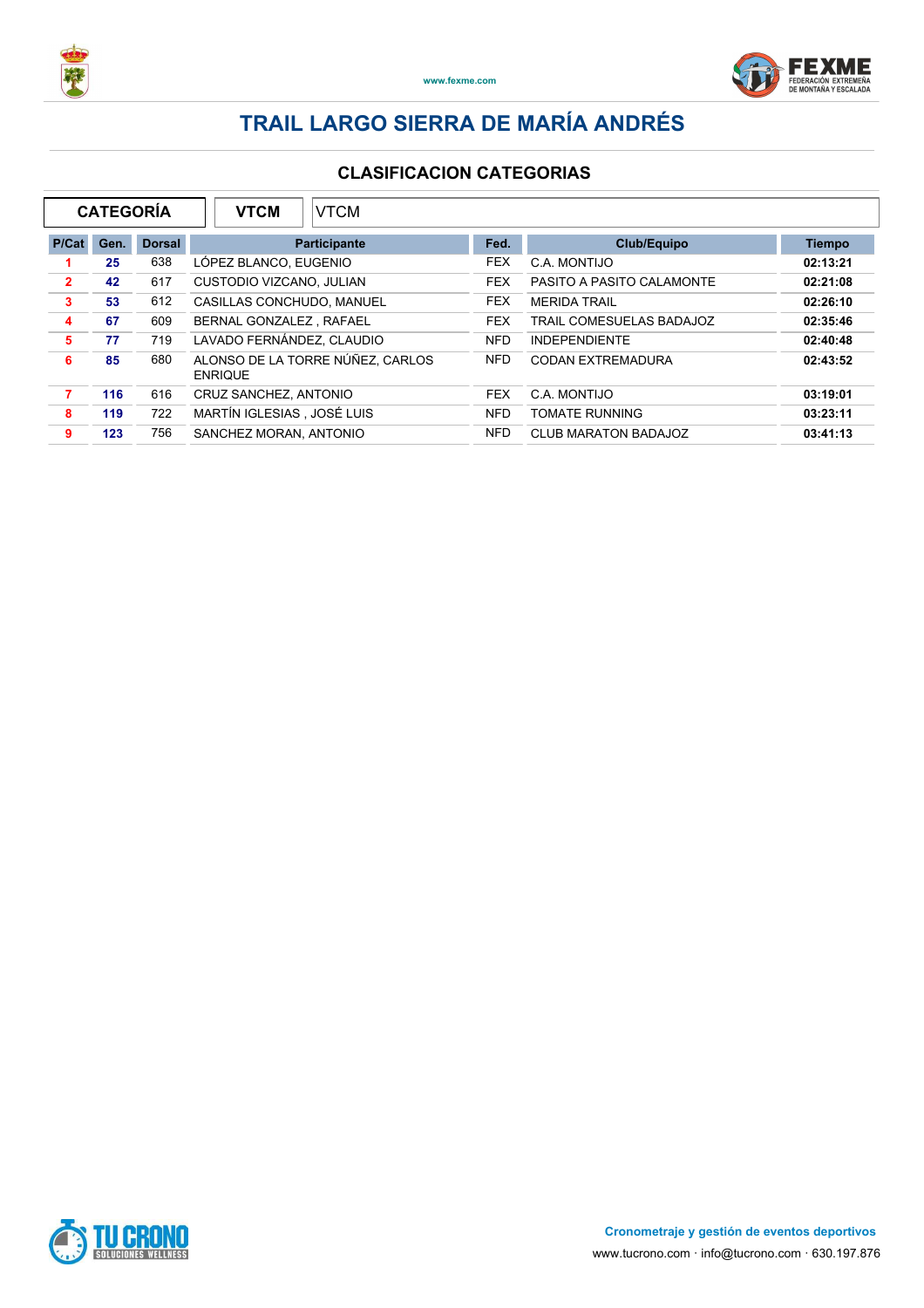



| <b>CATEGORÍA</b><br><b>VTCM</b><br><b>VTCM</b> |      |               |                            |                                  |            |                           |               |
|------------------------------------------------|------|---------------|----------------------------|----------------------------------|------------|---------------------------|---------------|
| P/Cat                                          | Gen. | <b>Dorsal</b> |                            | <b>Participante</b>              | Fed.       | Club/Equipo               | <b>Tiempo</b> |
|                                                | 25   | 638           | LÓPEZ BLANCO, EUGENIO      |                                  | <b>FEX</b> | C.A. MONTIJO              | 02:13:21      |
| $\overline{2}$                                 | 42   | 617           | CUSTODIO VIZCANO, JULIAN   |                                  | <b>FEX</b> | PASITO A PASITO CALAMONTE | 02:21:08      |
| 3                                              | 53   | 612           | CASILLAS CONCHUDO, MANUEL  |                                  | <b>FEX</b> | <b>MERIDA TRAIL</b>       | 02:26:10      |
| 4                                              | 67   | 609           | BERNAL GONZALEZ, RAFAEL    |                                  | <b>FEX</b> | TRAIL COMESUELAS BADAJOZ  | 02:35:46      |
| 5                                              | 77   | 719           | LAVADO FERNÁNDEZ, CLAUDIO  |                                  | <b>NFD</b> | <b>INDEPENDIENTE</b>      | 02:40:48      |
| 6                                              | 85   | 680           | <b>ENRIQUE</b>             | ALONSO DE LA TORRE NÚÑEZ. CARLOS | <b>NFD</b> | CODAN EXTREMADURA         | 02:43:52      |
|                                                | 116  | 616           | CRUZ SANCHEZ, ANTONIO      |                                  | <b>FEX</b> | C.A. MONTIJO              | 03:19:01      |
| 8                                              | 119  | 722           | MARTÍN IGLESIAS, JOSÉ LUIS |                                  | <b>NFD</b> | <b>TOMATE RUNNING</b>     | 03:23:11      |
| 9                                              | 123  | 756           | SANCHEZ MORAN, ANTONIO     |                                  | <b>NFD</b> | CLUB MARATON BADAJOZ      | 03:41:13      |

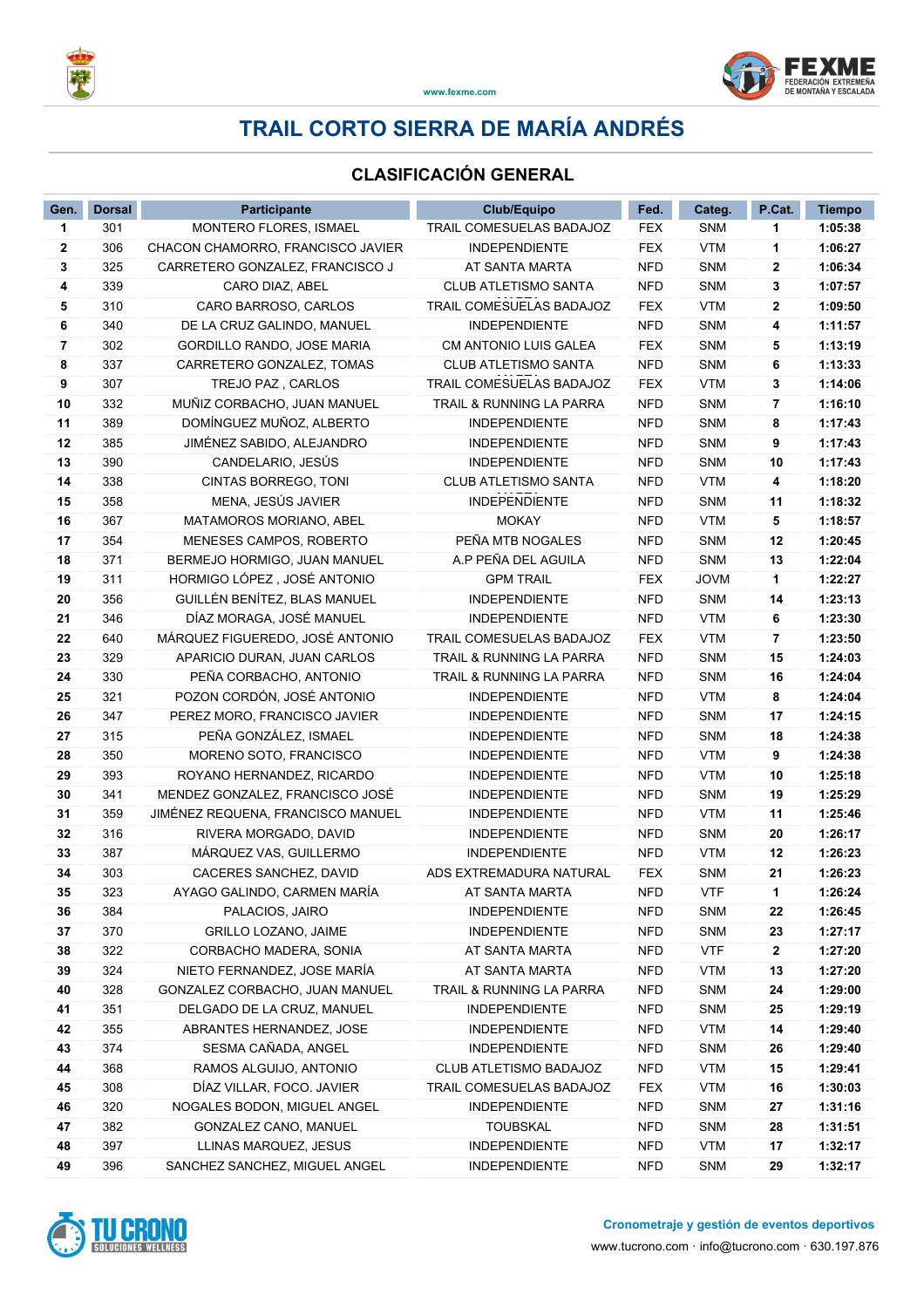

### **CLASIFICACIÓN GENERAL**

| Gen.     | <b>Dorsal</b> | <b>Participante</b>                                  | <b>Club/Equipo</b>                      | Fed.                     | Categ.                   | P.Cat.       | <b>Tiempo</b>      |
|----------|---------------|------------------------------------------------------|-----------------------------------------|--------------------------|--------------------------|--------------|--------------------|
| 1        | 301           | MONTERO FLORES, ISMAEL                               | TRAIL COMESUELAS BADAJOZ                | <b>FEX</b>               | <b>SNM</b>               | 1            | 1:05:38            |
| 2        | 306           | CHACON CHAMORRO, FRANCISCO JAVIER                    | <b>INDEPENDIENTE</b>                    | <b>FEX</b>               | <b>VTM</b>               | 1            | 1:06:27            |
| 3        | 325           | CARRETERO GONZALEZ, FRANCISCO J                      | AT SANTA MARTA                          | <b>NFD</b>               | SNM                      | 2            | 1:06:34            |
| 4        | 339           | CARO DIAZ, ABEL                                      | <b>CLUB ATLETISMO SANTA</b>             | <b>NFD</b>               | <b>SNM</b>               | 3            | 1:07:57            |
| 5        | 310           | CARO BARROSO, CARLOS                                 | TRAIL COMESUELAS BADAJOZ                | <b>FEX</b>               | <b>VTM</b>               | $\mathbf{2}$ | 1:09:50            |
| 6        | 340           | DE LA CRUZ GALINDO, MANUEL                           | <b>INDEPENDIENTE</b>                    | <b>NFD</b>               | <b>SNM</b>               | 4            | 1:11:57            |
| 7        | 302           | GORDILLO RANDO, JOSE MARIA                           | CM ANTONIO LUIS GALEA                   | <b>FEX</b>               | <b>SNM</b>               | 5            | 1:13:19            |
| 8        | 337           | CARRETERO GONZALEZ, TOMAS                            | CLUB ATLETISMO SANTA                    | <b>NFD</b>               | <b>SNM</b>               | 6            | 1:13:33            |
| 9        | 307           | TREJO PAZ, CARLOS                                    | TRAIL COMESUELAS BADAJOZ                | <b>FEX</b>               | <b>VTM</b>               | 3            | 1:14:06            |
| 10       | 332           | MUÑIZ CORBACHO, JUAN MANUEL                          | <b>TRAIL &amp; RUNNING LA PARRA</b>     | <b>NFD</b>               | <b>SNM</b>               | 7            | 1:16:10            |
| 11       | 389           | DOMÍNGUEZ MUÑOZ, ALBERTO                             | <b>INDEPENDIENTE</b>                    | <b>NFD</b>               | SNM                      | 8            | 1:17:43            |
| 12       | 385           | JIMÉNEZ SABIDO, ALEJANDRO                            | <b>INDEPENDIENTE</b>                    | <b>NFD</b>               | <b>SNM</b>               | 9            | 1:17:43            |
| 13       | 390           | CANDELARIO, JESÚS                                    | <b>INDEPENDIENTE</b>                    | <b>NFD</b>               | SNM                      | 10           | 1:17:43            |
| 14       | 338           | CINTAS BORREGO, TONI                                 | <b>CLUB ATLETISMO SANTA</b>             | <b>NFD</b>               | <b>VTM</b>               | 4            | 1:18:20            |
| 15       | 358           | MENA, JESÚS JAVIER                                   | <b>INDEPENDIENTE</b>                    | <b>NFD</b>               | SNM                      | 11           | 1:18:32            |
| 16       | 367           | MATAMOROS MORIANO, ABEL                              | <b>MOKAY</b>                            | <b>NFD</b>               | <b>VTM</b>               | 5            | 1:18:57            |
| 17       | 354           | MENESES CAMPOS, ROBERTO                              | PEÑA MTB NOGALES                        | <b>NFD</b>               | <b>SNM</b>               | 12           | 1:20:45            |
| 18       | 371           | BERMEJO HORMIGO, JUAN MANUEL                         | A.P PEÑA DEL AGUILA                     | <b>NFD</b>               | SNM                      | 13           | 1:22:04            |
| 19       | 311           | HORMIGO LÓPEZ, JOSÉ ANTONIO                          | <b>GPM TRAIL</b>                        | <b>FEX</b>               | <b>JOVM</b>              | 1            | 1:22:27            |
| 20       | 356           | GUILLÉN BENÍTEZ, BLAS MANUEL                         | <b>INDEPENDIENTE</b>                    | <b>NFD</b>               | <b>SNM</b>               | 14           | 1:23:13            |
| 21       | 346           | DÍAZ MORAGA, JOSÉ MANUEL                             | <b>INDEPENDIENTE</b>                    | <b>NFD</b>               | <b>VTM</b>               | 6            | 1:23:30            |
| 22       | 640           | MÁRQUEZ FIGUEREDO, JOSÉ ANTONIO                      | TRAIL COMESUELAS BADAJOZ                | <b>FEX</b>               | <b>VTM</b>               | 7            | 1:23:50            |
| 23       | 329           | APARICIO DURAN, JUAN CARLOS                          | TRAIL & RUNNING LA PARRA                | <b>NFD</b>               | <b>SNM</b>               | 15           | 1:24:03            |
| 24       | 330           | PEÑA CORBACHO, ANTONIO                               | TRAIL & RUNNING LA PARRA                | <b>NFD</b>               | <b>SNM</b>               | 16           | 1:24:04            |
| 25       | 321           | POZON CORDÓN, JOSÉ ANTONIO                           | <b>INDEPENDIENTE</b>                    | <b>NFD</b>               | <b>VTM</b>               | 8            | 1:24:04            |
| 26       | 347           | PEREZ MORO, FRANCISCO JAVIER                         | <b>INDEPENDIENTE</b>                    | <b>NFD</b>               | SNM                      | 17           | 1:24:15            |
| 27       | 315           | PEÑA GONZÁLEZ, ISMAEL                                | <b>INDEPENDIENTE</b>                    | <b>NFD</b>               | <b>SNM</b>               | 18           | 1:24:38            |
| 28       | 350           | MORENO SOTO, FRANCISCO                               | <b>INDEPENDIENTE</b>                    | <b>NFD</b>               | <b>VTM</b>               | 9            | 1:24:38            |
| 29       | 393           | ROYANO HERNANDEZ, RICARDO                            | <b>INDEPENDIENTE</b>                    | <b>NFD</b>               | <b>VTM</b>               | 10           | 1:25:18            |
| 30       | 341           | MENDEZ GONZALEZ, FRANCISCO JOSÉ                      | <b>INDEPENDIENTE</b>                    | <b>NFD</b>               | <b>SNM</b>               | 19           | 1:25:29            |
| 31       | 359           | JIMÉNEZ REQUENA, FRANCISCO MANUEL                    | <b>INDEPENDIENTE</b>                    | <b>NFD</b>               | <b>VTM</b>               | 11           | 1:25:46            |
| 32       | 316           | RIVERA MORGADO, DAVID                                | <b>INDEPENDIENTE</b>                    | <b>NFD</b>               | SNM                      | 20           | 1:26:17            |
| 33       | 387           | MÁRQUEZ VAS, GUILLERMO                               | <b>INDEPENDIENTE</b>                    | <b>NFD</b>               | <b>VTM</b>               | 12           | 1:26:23            |
| 34       | 303           | CACERES SANCHEZ, DAVID                               | ADS EXTREMADURA NATURAL                 | <b>FEX</b>               | SNM                      | 21           | 1:26:23            |
| 35       | 323           | AYAGO GALINDO, CARMEN MARÍA                          | AT SANTA MARTA                          | <b>NFD</b>               | <b>VTF</b>               | 1.           | 1:26:24            |
| 36       | 384           | PALACIOS, JAIRO                                      | <b>INDEPENDIENTE</b>                    | NFD                      | <b>SNM</b>               | 22           | 1:26:45            |
| 37       | 370           | GRILLO LOZANO, JAIME                                 | <b>INDEPENDIENTE</b>                    | <b>NFD</b>               | <b>SNM</b>               | 23           | 1:27:17            |
| 38       | 322           | CORBACHO MADERA, SONIA                               | AT SANTA MARTA                          | <b>NFD</b>               | <b>VTF</b>               | 2            | 1:27:20            |
| 39       | 324           | NIETO FERNANDEZ, JOSE MARÍA                          | AT SANTA MARTA                          | <b>NFD</b>               | <b>VTM</b>               | 13           | 1:27:20            |
| 40       | 328           | GONZALEZ CORBACHO, JUAN MANUEL                       | TRAIL & RUNNING LA PARRA                | <b>NFD</b>               | <b>SNM</b>               | 24           | 1:29:00            |
| 41       | 351           | DELGADO DE LA CRUZ, MANUEL                           | <b>INDEPENDIENTE</b>                    | <b>NFD</b>               | <b>SNM</b>               | 25           | 1:29:19            |
| 42       | 355           | ABRANTES HERNANDEZ, JOSE                             | <b>INDEPENDIENTE</b>                    | <b>NFD</b>               | <b>VTM</b>               | 14           | 1:29:40            |
| 43       | 374           | SESMA CAÑADA, ANGEL<br>RAMOS ALGUIJO, ANTONIO        | <b>INDEPENDIENTE</b>                    | <b>NFD</b>               | <b>SNM</b>               | 26           | 1:29:40            |
| 44       | 368           |                                                      | CLUB ATLETISMO BADAJOZ                  | <b>NFD</b>               | <b>VTM</b>               | 15           | 1:29:41            |
| 45       | 308           | DÍAZ VILLAR, FOCO. JAVIER                            | TRAIL COMESUELAS BADAJOZ                | <b>FEX</b>               | <b>VTM</b>               | 16           | 1:30:03            |
| 46<br>47 | 320<br>382    | NOGALES BODON, MIGUEL ANGEL<br>GONZALEZ CANO, MANUEL | <b>INDEPENDIENTE</b><br><b>TOUBSKAL</b> | <b>NFD</b><br><b>NFD</b> | <b>SNM</b><br><b>SNM</b> | 27<br>28     | 1:31:16<br>1:31:51 |
| 48       | 397           |                                                      |                                         |                          |                          |              |                    |
|          |               | LLINAS MARQUEZ, JESUS                                | <b>INDEPENDIENTE</b>                    | <b>NFD</b>               | <b>VTM</b>               | 17           | 1:32:17            |
| 49       | 396           | SANCHEZ SANCHEZ, MIGUEL ANGEL                        | <b>INDEPENDIENTE</b>                    | <b>NFD</b>               | <b>SNM</b>               | 29           | 1:32:17            |

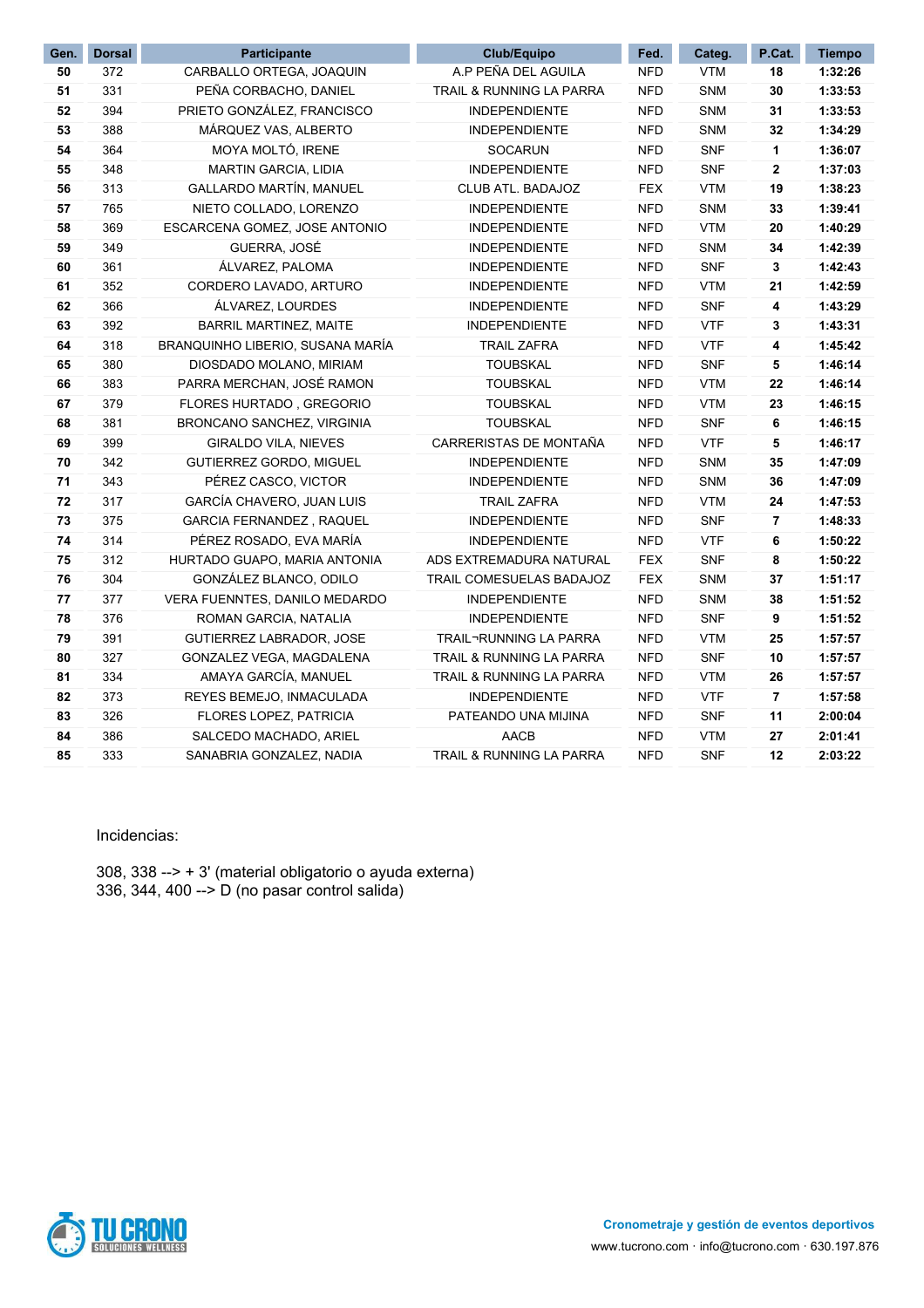| Gen. | <b>Dorsal</b> | Participante                      | Club/Equipo                         | Fed.       | Categ.     | P.Cat.         | <b>Tiempo</b> |
|------|---------------|-----------------------------------|-------------------------------------|------------|------------|----------------|---------------|
| 50   | 372           | CARBALLO ORTEGA, JOAQUIN          | A.P PEÑA DEL AGUILA                 | <b>NFD</b> | <b>VTM</b> | 18             | 1:32:26       |
| 51   | 331           | PEÑA CORBACHO, DANIEL             | TRAIL & RUNNING LA PARRA            | <b>NFD</b> | SNM        | 30             | 1:33:53       |
| 52   | 394           | PRIETO GONZÁLEZ, FRANCISCO        | <b>INDEPENDIENTE</b>                | <b>NFD</b> | SNM        | 31             | 1:33:53       |
| 53   | 388           | MÁRQUEZ VAS, ALBERTO              | <b>INDEPENDIENTE</b>                | <b>NFD</b> | SNM        | 32             | 1:34:29       |
| 54   | 364           | MOYA MOLTÓ, IRENE                 | <b>SOCARUN</b>                      | <b>NFD</b> | <b>SNF</b> | 1              | 1:36:07       |
| 55   | 348           | <b>MARTIN GARCIA, LIDIA</b>       | <b>INDEPENDIENTE</b>                | <b>NFD</b> | <b>SNF</b> | $\mathbf{2}$   | 1:37:03       |
| 56   | 313           | <b>GALLARDO MARTÍN, MANUEL</b>    | CLUB ATL. BADAJOZ                   | <b>FEX</b> | <b>VTM</b> | 19             | 1:38:23       |
| 57   | 765           | NIETO COLLADO, LORENZO            | <b>INDEPENDIENTE</b>                | <b>NFD</b> | SNM        | 33             | 1:39:41       |
| 58   | 369           | ESCARCENA GOMEZ, JOSE ANTONIO     | <b>INDEPENDIENTE</b>                | <b>NFD</b> | <b>VTM</b> | 20             | 1:40:29       |
| 59   | 349           | GUERRA, JOSÉ                      | <b>INDEPENDIENTE</b>                | <b>NFD</b> | SNM        | 34             | 1:42:39       |
| 60   | 361           | ÁLVAREZ, PALOMA                   | <b>INDEPENDIENTE</b>                | <b>NFD</b> | <b>SNF</b> | 3              | 1:42:43       |
| 61   | 352           | CORDERO LAVADO, ARTURO            | <b>INDEPENDIENTE</b>                | <b>NFD</b> | <b>VTM</b> | 21             | 1:42:59       |
| 62   | 366           | ÁLVAREZ, LOURDES                  | <b>INDEPENDIENTE</b>                | <b>NFD</b> | <b>SNF</b> | 4              | 1:43:29       |
| 63   | 392           | <b>BARRIL MARTINEZ, MAITE</b>     | <b>INDEPENDIENTE</b>                | <b>NFD</b> | <b>VTF</b> | 3              | 1:43:31       |
| 64   | 318           | BRANQUINHO LIBERIO, SUSANA MARÍA  | <b>TRAIL ZAFRA</b>                  | <b>NFD</b> | <b>VTF</b> | 4              | 1:45:42       |
| 65   | 380           | DIOSDADO MOLANO, MIRIAM           | <b>TOUBSKAL</b>                     | <b>NFD</b> | <b>SNF</b> | 5              | 1:46:14       |
| 66   | 383           | PARRA MERCHAN, JOSÉ RAMON         | <b>TOUBSKAL</b>                     | <b>NFD</b> | <b>VTM</b> | 22             | 1:46:14       |
| 67   | 379           | <b>FLORES HURTADO, GREGORIO</b>   | <b>TOUBSKAL</b>                     | <b>NFD</b> | <b>VTM</b> | 23             | 1:46:15       |
| 68   | 381           | <b>BRONCANO SANCHEZ, VIRGINIA</b> | <b>TOUBSKAL</b>                     | <b>NFD</b> | <b>SNF</b> | 6              | 1:46:15       |
| 69   | 399           | <b>GIRALDO VILA, NIEVES</b>       | CARRERISTAS DE MONTAÑA              | <b>NFD</b> | <b>VTF</b> | 5              | 1:46:17       |
| 70   | 342           | <b>GUTIERREZ GORDO, MIGUEL</b>    | <b>INDEPENDIENTE</b>                | <b>NFD</b> | SNM        | 35             | 1:47:09       |
| 71   | 343           | PÉREZ CASCO, VICTOR               | <b>INDEPENDIENTE</b>                | <b>NFD</b> | SNM        | 36             | 1:47:09       |
| 72   | 317           | GARCÍA CHAVERO, JUAN LUIS         | <b>TRAIL ZAFRA</b>                  | <b>NFD</b> | <b>VTM</b> | 24             | 1:47:53       |
| 73   | 375           | <b>GARCIA FERNANDEZ, RAQUEL</b>   | <b>INDEPENDIENTE</b>                | <b>NFD</b> | <b>SNF</b> | $\overline{7}$ | 1:48:33       |
| 74   | 314           | PÉREZ ROSADO, EVA MARÍA           | <b>INDEPENDIENTE</b>                | <b>NFD</b> | <b>VTF</b> | 6              | 1:50:22       |
| 75   | 312           | HURTADO GUAPO, MARIA ANTONIA      | ADS EXTREMADURA NATURAL             | <b>FEX</b> | <b>SNF</b> | 8              | 1:50:22       |
| 76   | 304           | GONZÁLEZ BLANCO, ODILO            | TRAIL COMESUELAS BADAJOZ            | <b>FEX</b> | <b>SNM</b> | 37             | 1:51:17       |
| 77   | 377           | VERA FUENNTES, DANILO MEDARDO     | <b>INDEPENDIENTE</b>                | <b>NFD</b> | <b>SNM</b> | 38             | 1:51:52       |
| 78   | 376           | ROMAN GARCIA, NATALIA             | <b>INDEPENDIENTE</b>                | <b>NFD</b> | <b>SNF</b> | 9              | 1:51:52       |
| 79   | 391           | GUTIERREZ LABRADOR, JOSE          | TRAIL¬RUNNING LA PARRA              | <b>NFD</b> | <b>VTM</b> | 25             | 1:57:57       |
| 80   | 327           | GONZALEZ VEGA, MAGDALENA          | <b>TRAIL &amp; RUNNING LA PARRA</b> | <b>NFD</b> | <b>SNF</b> | 10             | 1:57:57       |
| 81   | 334           | AMAYA GARCÍA, MANUEL              | TRAIL & RUNNING LA PARRA            | <b>NFD</b> | <b>VTM</b> | 26             | 1:57:57       |
| 82   | 373           | REYES BEMEJO, INMACULADA          | <b>INDEPENDIENTE</b>                | <b>NFD</b> | <b>VTF</b> | 7              | 1:57:58       |
| 83   | 326           | <b>FLORES LOPEZ, PATRICIA</b>     | PATEANDO UNA MIJINA                 | <b>NFD</b> | <b>SNF</b> | 11             | 2:00:04       |
| 84   | 386           | SALCEDO MACHADO, ARIEL            | AACB                                | <b>NFD</b> | <b>VTM</b> | 27             | 2:01:41       |
| 85   | 333           | SANABRIA GONZALEZ, NADIA          | TRAIL & RUNNING LA PARRA            | <b>NFD</b> | <b>SNF</b> | 12             | 2:03:22       |

#### Incidencias:

308, 338 --> + 3' (material obligatorio o ayuda externa) 336, 344, 400 --> D (no pasar control salida)

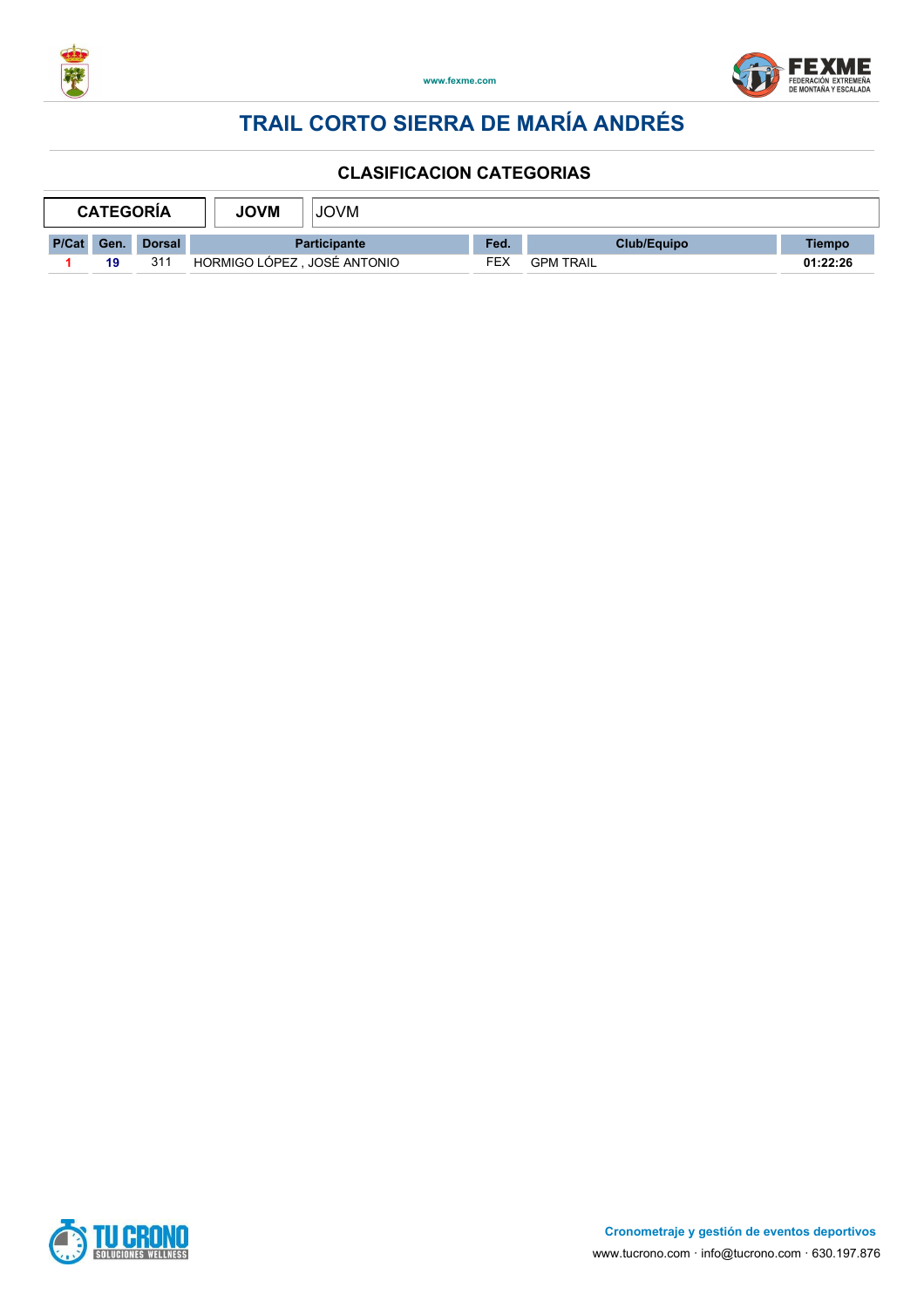



|            | <b>CATEGORÍA</b> | <b>JOVM</b><br><b>JOVM</b> |                             |  |      |                  |             |          |
|------------|------------------|----------------------------|-----------------------------|--|------|------------------|-------------|----------|
| P/Cat Gen. |                  | <b>Dorsal</b>              | <b>Participante</b>         |  | Fed. |                  | Club/Equipo | Tiempo   |
|            | 19               | 311                        | HORMIGO LÓPEZ, JOSÉ ANTONIO |  | FEX  | <b>GPM TRAIL</b> |             | 01:22:26 |

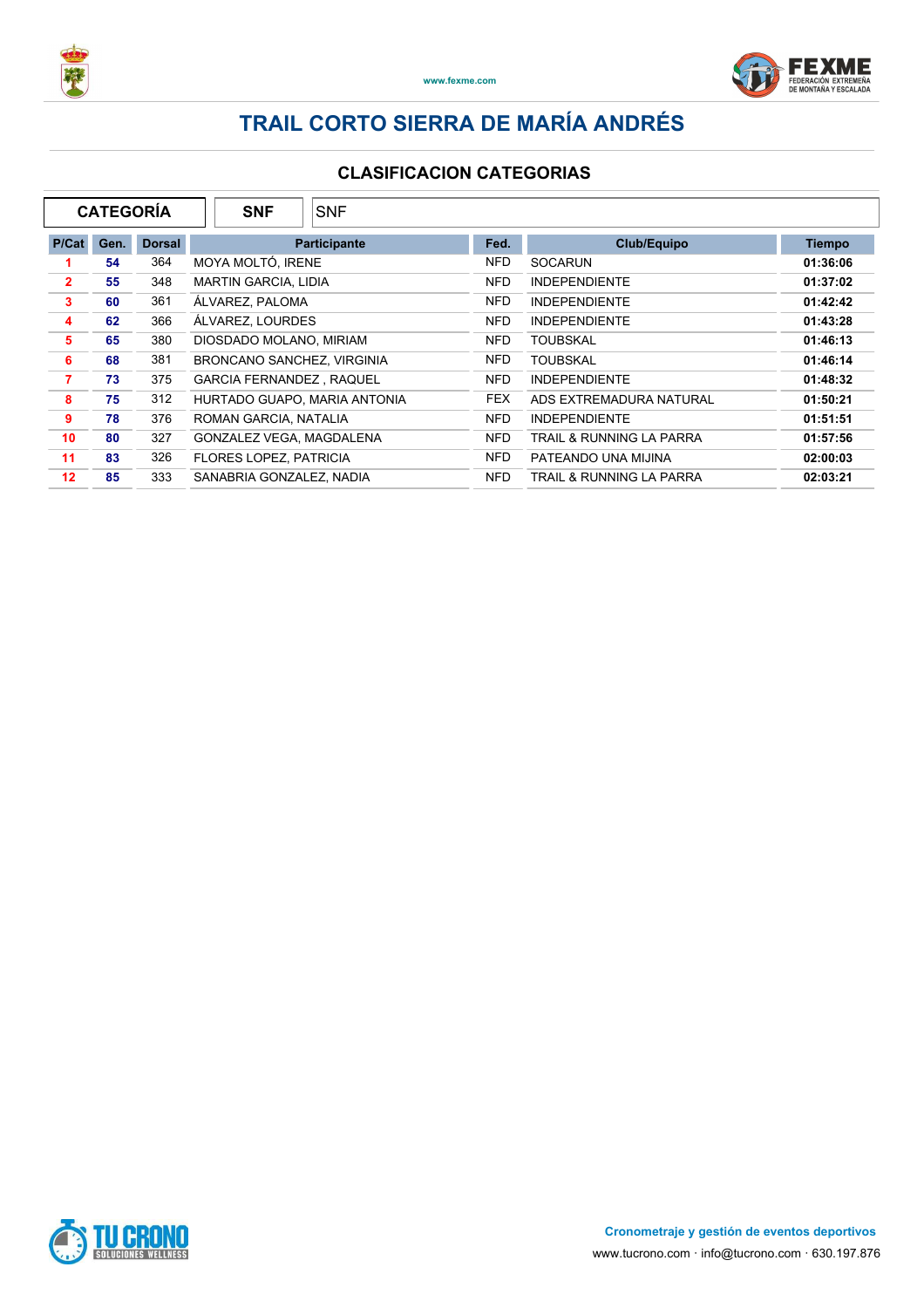



| <b>CATEGORÍA</b><br><b>SNF</b> |      |               |                            | <b>SNF</b>                      |                              |                            |                          |          |  |
|--------------------------------|------|---------------|----------------------------|---------------------------------|------------------------------|----------------------------|--------------------------|----------|--|
| P/Cat                          | Gen. | <b>Dorsal</b> |                            | <b>Participante</b>             |                              | <b>Club/Equipo</b><br>Fed. |                          |          |  |
|                                | 54   | 364           |                            | MOYA MOLTÓ, IRENE               |                              | NFD.                       | <b>SOCARUN</b>           | 01:36:06 |  |
| $\mathbf{2}$                   | 55   | 348           |                            | <b>MARTIN GARCIA, LIDIA</b>     |                              | NFD.                       | <b>INDEPENDIENTE</b>     | 01:37:02 |  |
| 3                              | 60   | 361           |                            | ÁLVAREZ. PALOMA                 |                              | NFD.                       | <b>INDEPENDIENTE</b>     | 01:42:42 |  |
| 4                              | 62   | 366           | ÁLVAREZ. LOURDES           |                                 | NFD.                         | <b>INDEPENDIENTE</b>       | 01:43:28                 |          |  |
| 5                              | 65   | 380           | DIOSDADO MOLANO, MIRIAM    |                                 | NFD.                         | <b>TOUBSKAL</b>            | 01:46:13                 |          |  |
| 6                              | 68   | 381           | BRONCANO SANCHEZ, VIRGINIA |                                 | NFD.                         | <b>TOUBSKAL</b>            | 01:46:14                 |          |  |
| 7                              | 73   | 375           |                            | <b>GARCIA FERNANDEZ, RAQUEL</b> |                              | NFD.                       | <b>INDEPENDIENTE</b>     | 01:48:32 |  |
| 8                              | 75   | 312           |                            |                                 | HURTADO GUAPO, MARIA ANTONIA | <b>FEX</b>                 | ADS EXTREMADURA NATURAL  | 01:50:21 |  |
| 9                              | 78   | 376           |                            | ROMAN GARCIA, NATALIA           |                              | NFD.                       | <b>INDEPENDIENTE</b>     | 01:51:51 |  |
| 10                             | 80   | 327           |                            |                                 | GONZALEZ VEGA, MAGDALENA     | NFD.                       | TRAIL & RUNNING LA PARRA | 01:57:56 |  |
| 11                             | 83   | 326           | FLORES LOPEZ, PATRICIA     |                                 | NFD.                         | PATEANDO UNA MIJINA        | 02:00:03                 |          |  |
| 12                             | 85   | 333           |                            | SANABRIA GONZALEZ, NADIA        |                              | NFD.                       | TRAIL & RUNNING LA PARRA | 02:03:21 |  |

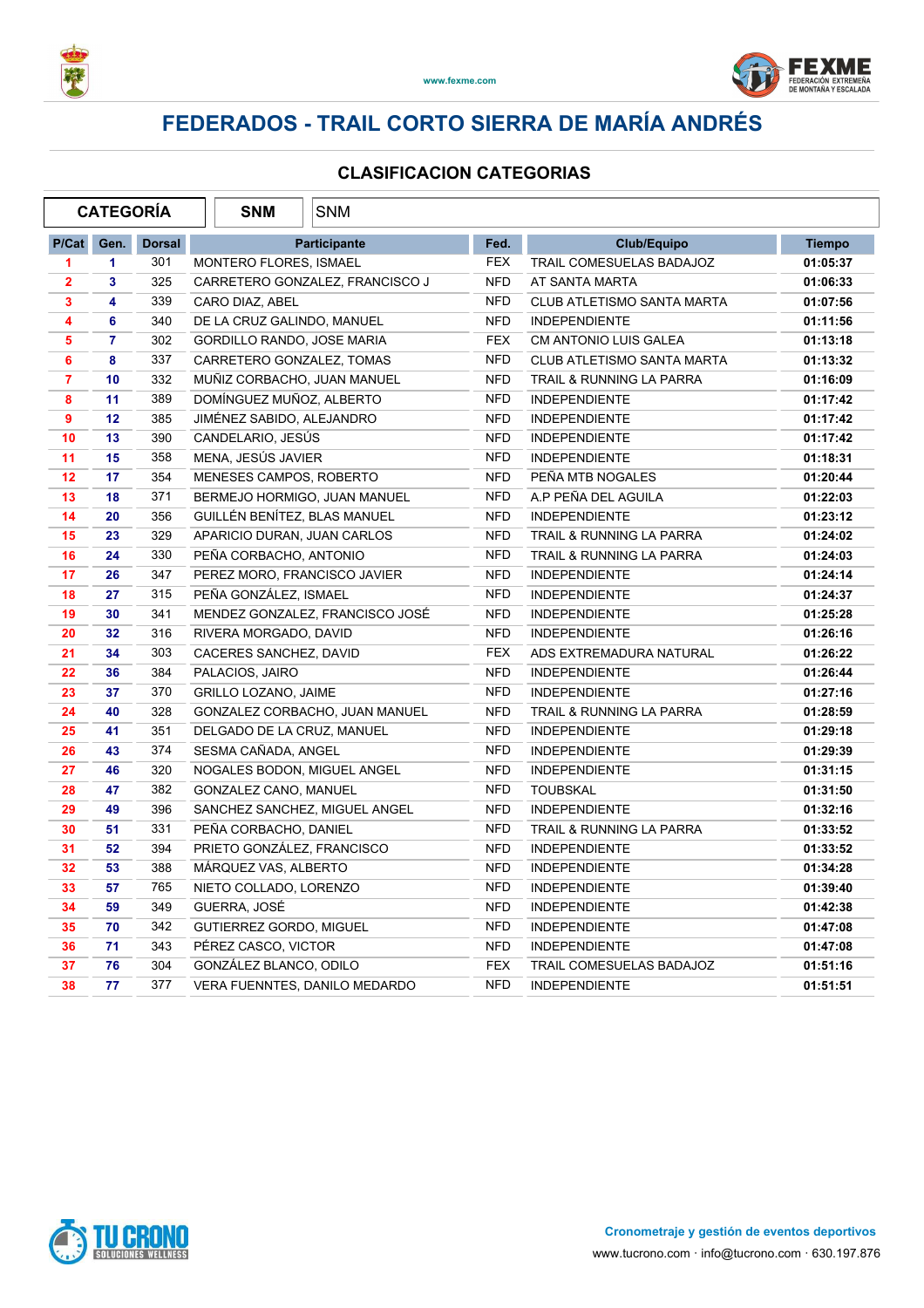



### **FEDERADOS - TRAIL CORTO SIERRA DE MARÍA ANDRÉS**

| <b>CATEGORÍA</b>        |                 |               | <b>SNM</b>                      | <b>SNM</b>                      |            |                                     |               |
|-------------------------|-----------------|---------------|---------------------------------|---------------------------------|------------|-------------------------------------|---------------|
| P/Cat                   | Gen.            | <b>Dorsal</b> |                                 | <b>Participante</b>             | Fed.       | <b>Club/Equipo</b>                  | <b>Tiempo</b> |
| 1                       | 1.              | 301           | MONTERO FLORES, ISMAEL          |                                 | FEX        | TRAIL COMESUELAS BADAJOZ            | 01:05:37      |
| $\overline{\mathbf{2}}$ | 3               | 325           | CARRETERO GONZALEZ, FRANCISCO J |                                 | <b>NFD</b> | AT SANTA MARTA                      | 01:06:33      |
| 3                       | 4               | 339           | CARO DIAZ, ABEL                 |                                 | <b>NFD</b> | CLUB ATLETISMO SANTA MARTA          | 01:07:56      |
| 4                       | 6               | 340           | DE LA CRUZ GALINDO, MANUEL      |                                 | <b>NFD</b> | <b>INDEPENDIENTE</b>                | 01:11:56      |
| 5                       | $\overline{7}$  | 302           | GORDILLO RANDO, JOSE MARIA      |                                 | <b>FEX</b> | <b>CM ANTONIO LUIS GALEA</b>        | 01:13:18      |
| 6                       | 8               | 337           | CARRETERO GONZALEZ, TOMAS       |                                 | <b>NFD</b> | CLUB ATLETISMO SANTA MARTA          | 01:13:32      |
| $\overline{7}$          | 10 <sub>1</sub> | 332           | MUÑIZ CORBACHO, JUAN MANUEL     |                                 | <b>NFD</b> | <b>TRAIL &amp; RUNNING LA PARRA</b> | 01:16:09      |
| 8                       | 11              | 389           | DOMÍNGUEZ MUÑOZ, ALBERTO        |                                 | <b>NFD</b> | <b>INDEPENDIENTE</b>                | 01:17:42      |
| 9                       | 12              | 385           | JIMÉNEZ SABIDO, ALEJANDRO       |                                 | <b>NFD</b> | <b>INDEPENDIENTE</b>                | 01:17:42      |
| 10                      | 13              | 390           | CANDELARIO, JESÚS               |                                 | <b>NFD</b> | <b>INDEPENDIENTE</b>                | 01:17:42      |
| 11                      | 15              | 358           | MENA, JESÚS JAVIER              |                                 | <b>NFD</b> | <b>INDEPENDIENTE</b>                | 01:18:31      |
| 12                      | 17              | 354           | MENESES CAMPOS, ROBERTO         |                                 | <b>NFD</b> | PEÑA MTB NOGALES                    | 01:20:44      |
| 13                      | 18              | 371           | BERMEJO HORMIGO, JUAN MANUEL    |                                 | <b>NFD</b> | A.P PEÑA DEL AGUILA                 | 01:22:03      |
| 14                      | 20              | 356           | GUILLÉN BENÍTEZ, BLAS MANUEL    |                                 | <b>NFD</b> | <b>INDEPENDIENTE</b>                | 01:23:12      |
| 15                      | 23              | 329           | APARICIO DURAN, JUAN CARLOS     |                                 | <b>NFD</b> | TRAIL & RUNNING LA PARRA            | 01:24:02      |
| 16                      | 24              | 330           | PEÑA CORBACHO, ANTONIO          |                                 | <b>NFD</b> | TRAIL & RUNNING LA PARRA            | 01:24:03      |
| 17                      | 26              | 347           | PEREZ MORO, FRANCISCO JAVIER    |                                 | <b>NFD</b> | <b>INDEPENDIENTE</b>                | 01:24:14      |
| 18                      | 27              | 315           | PEÑA GONZÁLEZ, ISMAEL           |                                 | <b>NFD</b> | <b>INDEPENDIENTE</b>                | 01:24:37      |
| 19                      | 30              | 341           |                                 | MENDEZ GONZALEZ, FRANCISCO JOSÉ | <b>NFD</b> | <b>INDEPENDIENTE</b>                | 01:25:28      |
| 20                      | 32              | 316           | RIVERA MORGADO, DAVID           |                                 | <b>NFD</b> | <b>INDEPENDIENTE</b>                | 01:26:16      |
| 21                      | 34              | 303           | CACERES SANCHEZ, DAVID          |                                 | <b>FEX</b> | ADS EXTREMADURA NATURAL             | 01:26:22      |
| 22                      | 36              | 384           | PALACIOS, JAIRO                 |                                 | <b>NFD</b> | <b>INDEPENDIENTE</b>                | 01:26:44      |
| 23                      | 37              | 370           | <b>GRILLO LOZANO, JAIME</b>     |                                 | <b>NFD</b> | <b>INDEPENDIENTE</b>                | 01:27:16      |
| 24                      | 40              | 328           |                                 | GONZALEZ CORBACHO, JUAN MANUEL  | <b>NFD</b> | TRAIL & RUNNING LA PARRA            | 01:28:59      |
| 25                      | 41              | 351           | DELGADO DE LA CRUZ, MANUEL      |                                 | <b>NFD</b> | INDEPENDIENTE                       | 01:29:18      |
| 26                      | 43              | 374           | SESMA CAÑADA, ANGEL             |                                 | <b>NFD</b> | <b>INDEPENDIENTE</b>                | 01:29:39      |
| 27                      | 46              | 320           | NOGALES BODON, MIGUEL ANGEL     |                                 | <b>NFD</b> | <b>INDEPENDIENTE</b>                | 01:31:15      |
| 28                      | 47              | 382           | GONZALEZ CANO, MANUEL           |                                 | <b>NFD</b> | <b>TOUBSKAL</b>                     | 01:31:50      |
| 29                      | 49              | 396           | SANCHEZ SANCHEZ, MIGUEL ANGEL   |                                 | <b>NFD</b> | <b>INDEPENDIENTE</b>                | 01:32:16      |
| 30                      | 51              | 331           | PEÑA CORBACHO, DANIEL           |                                 | <b>NFD</b> | TRAIL & RUNNING LA PARRA            | 01:33:52      |
| 31                      | 52              | 394           | PRIETO GONZÁLEZ, FRANCISCO      |                                 | <b>NFD</b> | <b>INDEPENDIENTE</b>                | 01:33:52      |
| 32                      | 53              | 388           | MÁRQUEZ VAS, ALBERTO            |                                 | <b>NFD</b> | <b>INDEPENDIENTE</b>                | 01:34:28      |
| 33                      | 57              | 765           | NIETO COLLADO, LORENZO          |                                 | <b>NFD</b> | <b>INDEPENDIENTE</b>                | 01:39:40      |
| 34                      | 59              | 349           | GUERRA, JOSÉ                    |                                 | <b>NFD</b> | <b>INDEPENDIENTE</b>                | 01:42:38      |
| 35                      | 70              | 342           | <b>GUTIERREZ GORDO, MIGUEL</b>  |                                 | <b>NFD</b> | <b>INDEPENDIENTE</b>                | 01:47:08      |
| 36                      | 71              | 343           | PÉREZ CASCO, VICTOR             |                                 | <b>NFD</b> | <b>INDEPENDIENTE</b>                | 01:47:08      |
| 37                      | 76              | 304           | GONZÁLEZ BLANCO, ODILO          |                                 | <b>FEX</b> | TRAIL COMESUELAS BADAJOZ            | 01:51:16      |
| 38                      | 77              | 377           | VERA FUENNTES, DANILO MEDARDO   |                                 | <b>NFD</b> | <b>INDEPENDIENTE</b>                | 01:51:51      |

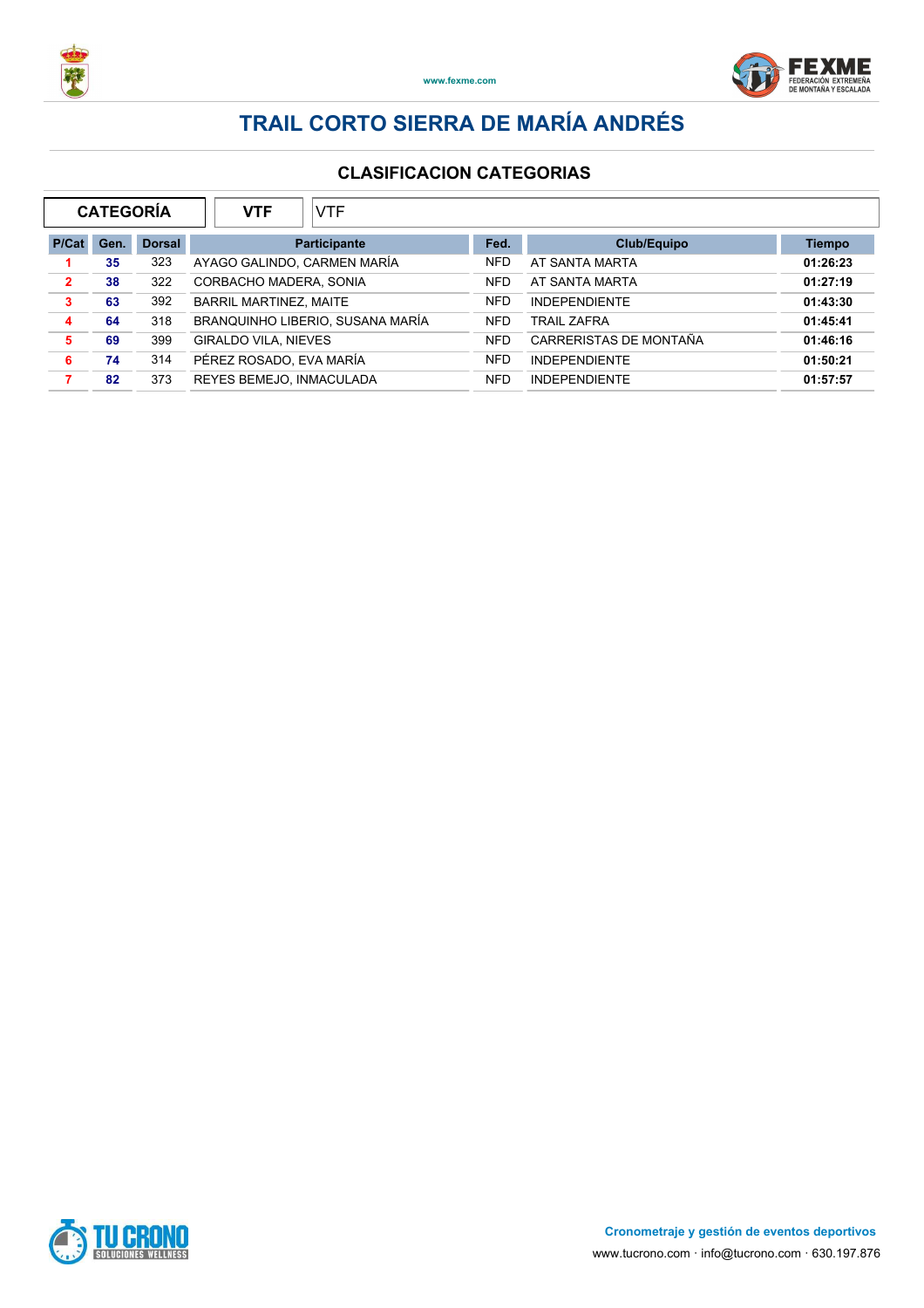



| <b>CATEGORÍA</b> |      |               | <b>VTF</b>                       | <b>VTF</b>          |            |                        |               |
|------------------|------|---------------|----------------------------------|---------------------|------------|------------------------|---------------|
| P/Cat            | Gen. | <b>Dorsal</b> |                                  | <b>Participante</b> | Fed.       | Club/Equipo            | <b>Tiempo</b> |
|                  | 35   | 323           | AYAGO GALINDO, CARMEN MARÍA      |                     | <b>NFD</b> | AT SANTA MARTA         | 01:26:23      |
| $\overline{2}$   | 38   | 322           | CORBACHO MADERA, SONIA           |                     | <b>NFD</b> | AT SANTA MARTA         | 01:27:19      |
| 3                | 63   | 392           | <b>BARRIL MARTINEZ, MAITE</b>    |                     | <b>NFD</b> | <b>INDEPENDIENTE</b>   | 01:43:30      |
| 4                | 64   | 318           | BRANQUINHO LIBERIO, SUSANA MARÍA |                     | <b>NFD</b> | <b>TRAIL ZAFRA</b>     | 01:45:41      |
| 5                | 69   | 399           | <b>GIRALDO VILA, NIEVES</b>      |                     | <b>NFD</b> | CARRERISTAS DE MONTAÑA | 01:46:16      |
| 6                | 74   | 314           | PÉREZ ROSADO, EVA MARÍA          |                     | <b>NFD</b> | <b>INDEPENDIENTE</b>   | 01:50:21      |
|                  | 82   | 373           | REYES BEMEJO, INMACULADA         |                     | <b>NFD</b> | <b>INDEPENDIENTE</b>   | 01:57:57      |
|                  |      |               |                                  |                     |            |                        |               |